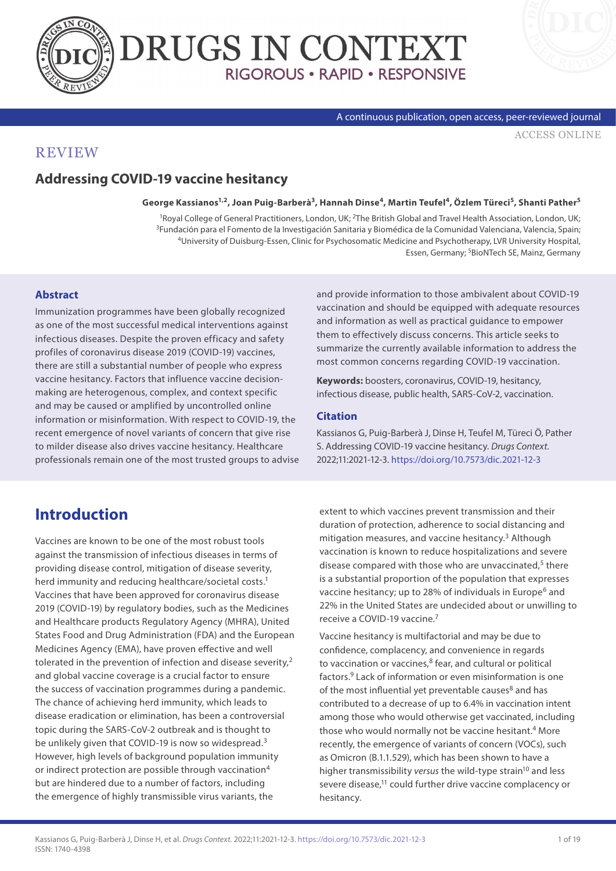



#### A continuous publication, open access, peer-reviewed journal

[ACCESS ONLINE](https://www.drugsincontext.com/addressing-covid-19-vaccine-hesitancy)

### **REVIEW**

## **Addressing COVID-19 vaccine hesitancy**

#### **George Kassianos1,2, Joan Puig-Barberà3, Hannah Dinse4, Martin Teufel4, Özlem Türeci5, Shanti Pather5**

<sup>1</sup>Royal College of General Practitioners, London, UK; <sup>2</sup>The British Global and Travel Health Association, London, UK; <sup>3</sup>Fundación para el Fomento de la Investigación Sanitaria y Biomédica de la Comunidad Valenciana, Val Essen, Germany; <sup>5</sup>BioNTech SE, Mainz, Germany

#### **Abstract**

Immunization programmes have been globally recognized as one of the most successful medical interventions against infectious diseases. Despite the proven efficacy and safety profiles of coronavirus disease 2019 (COVID-19) vaccines, there are still a substantial number of people who express vaccine hesitancy. Factors that influence vaccine decisionmaking are heterogenous, complex, and context specific and may be caused or amplified by uncontrolled online information or misinformation. With respect to COVID-19, the recent emergence of novel variants of concern that give rise to milder disease also drives vaccine hesitancy. Healthcare professionals remain one of the most trusted groups to advise

## **Introduction**

Vaccines are known to be one of the most robust tools against the transmission of infectious diseases in terms of providing disease control, mitigation of disease severity, herd immunity and reducing healthcare/societal costs.<sup>1</sup> Vaccines that have been approved for coronavirus disease 2019 (COVID-19) by regulatory bodies, such as the Medicines and Healthcare products Regulatory Agency (MHRA), United States Food and Drug Administration (FDA) and the European Medicines Agency (EMA), have proven effective and well tolerated in the prevention of infection and disease severity,<sup>2</sup> and global vaccine coverage is a crucial factor to ensure the success of vaccination programmes during a pandemic. The chance of achieving herd immunity, which leads to disease eradication or elimination, has been a controversial topic during the SARS-CoV-2 outbreak and is thought to be unlikely given that COVID-19 is now so widespread.<sup>3</sup> However, high levels of background population immunity or indirect protection are possible through vaccination<sup>4</sup> but are hindered due to a number of factors, including the emergence of highly transmissible virus variants, the

and provide information to those ambivalent about COVID-19 vaccination and should be equipped with adequate resources and information as well as practical guidance to empower them to effectively discuss concerns. This article seeks to summarize the currently available information to address the most common concerns regarding COVID-19 vaccination.

**Keywords:** boosters, coronavirus, COVID-19, hesitancy, infectious disease, public health, SARS-CoV-2, vaccination.

#### **Citation**

Kassianos G, Puig-Barberà J, Dinse H, Teufel M, Türeci Ö, Pather S. Addressing COVID-19 vaccine hesitancy. *Drugs Context*. 2022;11:2021-12-3.<https://doi.org/10.7573/dic.2021-12-3>

extent to which vaccines prevent transmission and their duration of protection, adherence to social distancing and mitigation measures, and vaccine hesitancy.<sup>3</sup> Although vaccination is known to reduce hospitalizations and severe disease compared with those who are unvaccinated,<sup>5</sup> there is a substantial proportion of the population that expresses vaccine hesitancy; up to 28% of individuals in Europe<sup>6</sup> and 22% in the United States are undecided about or unwilling to receive a COVID-19 vaccine.7

Vaccine hesitancy is multifactorial and may be due to confidence, complacency, and convenience in regards to vaccination or vaccines, $8$  fear, and cultural or political factors.9 Lack of information or even misinformation is one of the most influential yet preventable causes $8$  and has contributed to a decrease of up to 6.4% in vaccination intent among those who would otherwise get vaccinated, including those who would normally not be vaccine hesitant.<sup>4</sup> More recently, the emergence of variants of concern (VOCs), such as Omicron (B.1.1.529), which has been shown to have a higher transmissibility *versus* the wild-type strain<sup>10</sup> and less severe disease,<sup>11</sup> could further drive vaccine complacency or hesitancy.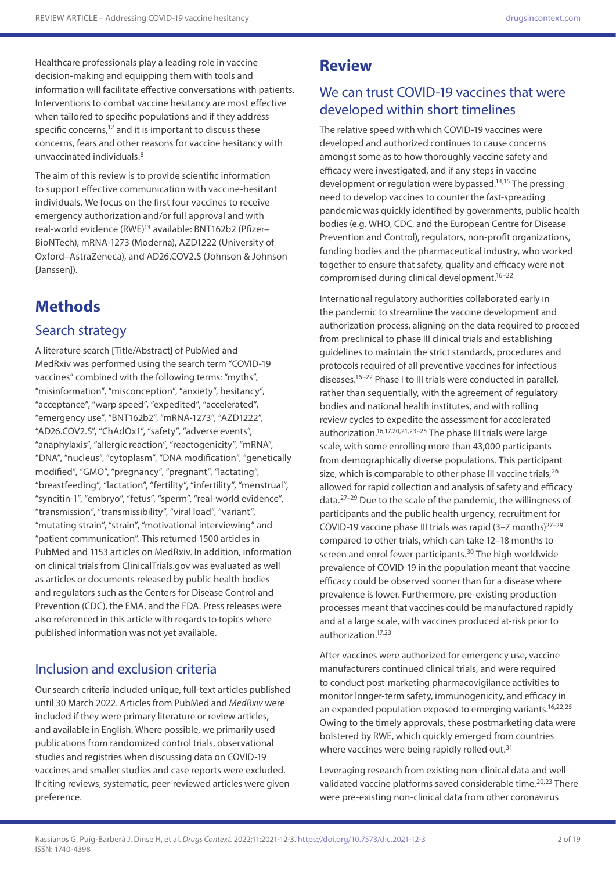Healthcare professionals play a leading role in vaccine decision-making and equipping them with tools and information will facilitate effective conversations with patients. Interventions to combat vaccine hesitancy are most effective when tailored to specific populations and if they address specific concerns,<sup>12</sup> and it is important to discuss these concerns, fears and other reasons for vaccine hesitancy with unvaccinated individuals.8

The aim of this review is to provide scientific information to support effective communication with vaccine-hesitant individuals. We focus on the first four vaccines to receive emergency authorization and/or full approval and with real-world evidence (RWE)13 available: BNT162b2 (Pfizer– BioNTech), mRNA-1273 (Moderna), AZD1222 (University of Oxford–AstraZeneca), and AD26.COV2.S (Johnson & Johnson [Janssen]).

# **Methods**

### Search strategy

A literature search [Title/Abstract] of PubMed and MedRxiv was performed using the search term "COVID-19 vaccines" combined with the following terms: "myths", "misinformation", "misconception", "anxiety", hesitancy", "acceptance", "warp speed", "expedited", "accelerated", "emergency use", "BNT162b2", "mRNA-1273", "AZD1222", "AD26.COV2.S", "ChAdOx1", "safety", "adverse events", "anaphylaxis", "allergic reaction", "reactogenicity", "mRNA", "DNA", "nucleus", "cytoplasm", "DNA modification", "genetically modified", "GMO", "pregnancy", "pregnant", "lactating", "breastfeeding", "lactation", "fertility", "infertility", "menstrual", "syncitin-1", "embryo", "fetus", "sperm", "real-world evidence", "transmission", "transmissibility", "viral load", "variant", "mutating strain", "strain", "motivational interviewing" and "patient communication". This returned 1500 articles in PubMed and 1153 articles on MedRxiv. In addition, information on clinical trials from ClinicalTrials.gov was evaluated as well as articles or documents released by public health bodies and regulators such as the Centers for Disease Control and Prevention (CDC), the EMA, and the FDA. Press releases were also referenced in this article with regards to topics where published information was not yet available.

## Inclusion and exclusion criteria

Our search criteria included unique, full-text articles published until 30 March 2022. Articles from PubMed and *MedRxiv* were included if they were primary literature or review articles, and available in English. Where possible, we primarily used publications from randomized control trials, observational studies and registries when discussing data on COVID-19 vaccines and smaller studies and case reports were excluded. If citing reviews, systematic, peer-reviewed articles were given preference.

## **Review**

### We can trust COVID-19 vaccines that were developed within short timelines

The relative speed with which COVID-19 vaccines were developed and authorized continues to cause concerns amongst some as to how thoroughly vaccine safety and efficacy were investigated, and if any steps in vaccine development or regulation were bypassed.<sup>14,15</sup> The pressing need to develop vaccines to counter the fast-spreading pandemic was quickly identified by governments, public health bodies (e.g. WHO, CDC, and the European Centre for Disease Prevention and Control), regulators, non-profit organizations, funding bodies and the pharmaceutical industry, who worked together to ensure that safety, quality and efficacy were not compromised during clinical development.16–22

International regulatory authorities collaborated early in the pandemic to streamline the vaccine development and authorization process, aligning on the data required to proceed from preclinical to phase III clinical trials and establishing guidelines to maintain the strict standards, procedures and protocols required of all preventive vaccines for infectious diseases.16–22 Phase I to III trials were conducted in parallel, rather than sequentially, with the agreement of regulatory bodies and national health institutes, and with rolling review cycles to expedite the assessment for accelerated authorization.16,17,20,21,23–25 The phase III trials were large scale, with some enrolling more than 43,000 participants from demographically diverse populations. This participant size, which is comparable to other phase III vaccine trials.<sup>26</sup> allowed for rapid collection and analysis of safety and efficacy data.27–29 Due to the scale of the pandemic, the willingness of participants and the public health urgency, recruitment for COVID-19 vaccine phase III trials was rapid (3–7 months)27–29 compared to other trials, which can take 12–18 months to screen and enrol fewer participants.<sup>30</sup> The high worldwide prevalence of COVID-19 in the population meant that vaccine efficacy could be observed sooner than for a disease where prevalence is lower. Furthermore, pre-existing production processes meant that vaccines could be manufactured rapidly and at a large scale, with vaccines produced at-risk prior to authorization.17,23

After vaccines were authorized for emergency use, vaccine manufacturers continued clinical trials, and were required to conduct post-marketing pharmacovigilance activities to monitor longer-term safety, immunogenicity, and efficacy in an expanded population exposed to emerging variants.<sup>16,22,25</sup> Owing to the timely approvals, these postmarketing data were bolstered by RWE, which quickly emerged from countries where vaccines were being rapidly rolled out.<sup>31</sup>

Leveraging research from existing non-clinical data and wellvalidated vaccine platforms saved considerable time.<sup>20,23</sup> There were pre-existing non-clinical data from other coronavirus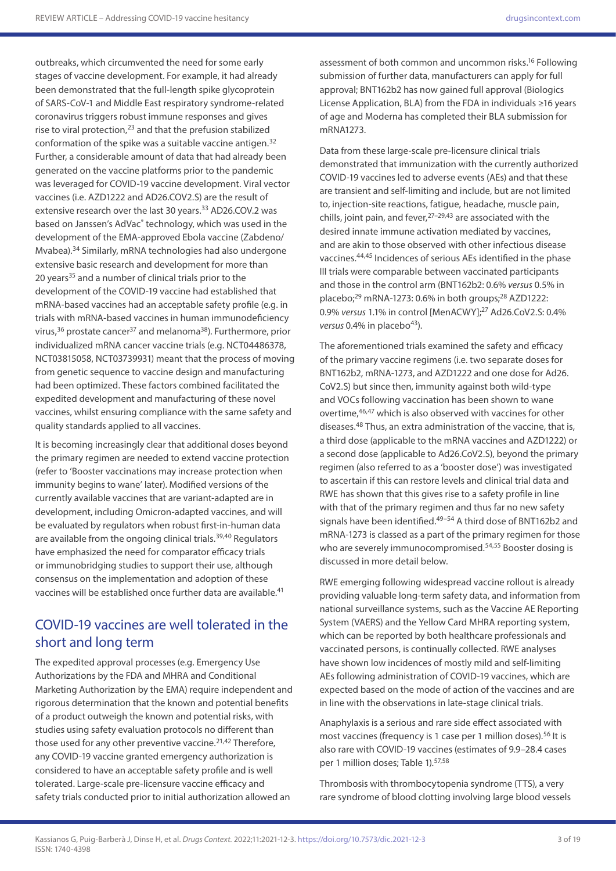outbreaks, which circumvented the need for some early stages of vaccine development. For example, it had already been demonstrated that the full-length spike glycoprotein of SARS-CoV-1 and Middle East respiratory syndrome-related coronavirus triggers robust immune responses and gives rise to viral protection, $23$  and that the prefusion stabilized conformation of the spike was a suitable vaccine antigen.32 Further, a considerable amount of data that had already been generated on the vaccine platforms prior to the pandemic was leveraged for COVID-19 vaccine development. Viral vector vaccines (i.e. AZD1222 and AD26.COV2.S) are the result of extensive research over the last 30 years.<sup>33</sup> AD26.COV.2 was based on Janssen's AdVac® technology, which was used in the development of the EMA-approved Ebola vaccine (Zabdeno/ Mvabea).34 Similarly, mRNA technologies had also undergone extensive basic research and development for more than 20 years<sup>35</sup> and a number of clinical trials prior to the development of the COVID-19 vaccine had established that mRNA-based vaccines had an acceptable safety profile (e.g. in trials with mRNA-based vaccines in human immunodeficiency virus,36 prostate cancer37 and melanoma38). Furthermore, prior individualized mRNA cancer vaccine trials (e.g. NCT04486378, NCT03815058, NCT03739931) meant that the process of moving from genetic sequence to vaccine design and manufacturing had been optimized. These factors combined facilitated the expedited development and manufacturing of these novel vaccines, whilst ensuring compliance with the same safety and quality standards applied to all vaccines.

It is becoming increasingly clear that additional doses beyond the primary regimen are needed to extend vaccine protection (refer to 'Booster vaccinations may increase protection when immunity begins to wane' later). Modified versions of the currently available vaccines that are variant-adapted are in development, including Omicron-adapted vaccines, and will be evaluated by regulators when robust first-in-human data are available from the ongoing clinical trials.<sup>39,40</sup> Regulators have emphasized the need for comparator efficacy trials or immunobridging studies to support their use, although consensus on the implementation and adoption of these vaccines will be established once further data are available.<sup>41</sup>

## COVID-19 vaccines are well tolerated in the short and long term

The expedited approval processes (e.g. Emergency Use Authorizations by the FDA and MHRA and Conditional Marketing Authorization by the EMA) require independent and rigorous determination that the known and potential benefits of a product outweigh the known and potential risks, with studies using safety evaluation protocols no different than those used for any other preventive vaccine.<sup>21,42</sup> Therefore, any COVID-19 vaccine granted emergency authorization is considered to have an acceptable safety profile and is well tolerated. Large-scale pre-licensure vaccine efficacy and safety trials conducted prior to initial authorization allowed an

assessment of both common and uncommon risks.16 Following submission of further data, manufacturers can apply for full approval; BNT162b2 has now gained full approval (Biologics License Application, BLA) from the FDA in individuals ≥16 years of age and Moderna has completed their BLA submission for mRNA1273.

Data from these large-scale pre-licensure clinical trials demonstrated that immunization with the currently authorized COVID-19 vaccines led to adverse events (AEs) and that these are transient and self-limiting and include, but are not limited to, injection-site reactions, fatigue, headache, muscle pain, chills, joint pain, and fever,  $27-29,43$  are associated with the desired innate immune activation mediated by vaccines, and are akin to those observed with other infectious disease vaccines.44,45 Incidences of serious AEs identified in the phase III trials were comparable between vaccinated participants and those in the control arm (BNT162b2: 0.6% *versus* 0.5% in placebo; $^{29}$  mRNA-1273: 0.6% in both groups; $^{28}$  AZD1222: 0.9% *versus* 1.1% in control [MenACWY];27 Ad26.CoV2.S: 0.4% *versus* 0.4% in placebo<sup>43</sup>).

The aforementioned trials examined the safety and efficacy of the primary vaccine regimens (i.e. two separate doses for BNT162b2, mRNA-1273, and AZD1222 and one dose for Ad26. CoV2.S) but since then, immunity against both wild-type and VOCs following vaccination has been shown to wane overtime,46,47 which is also observed with vaccines for other diseases.48 Thus, an extra administration of the vaccine, that is, a third dose (applicable to the mRNA vaccines and AZD1222) or a second dose (applicable to Ad26.CoV2.S), beyond the primary regimen (also referred to as a 'booster dose') was investigated to ascertain if this can restore levels and clinical trial data and RWE has shown that this gives rise to a safety profile in line with that of the primary regimen and thus far no new safety signals have been identified.<sup>49-54</sup> A third dose of BNT162b2 and mRNA-1273 is classed as a part of the primary regimen for those who are severely immunocompromised.<sup>54,55</sup> Booster dosing is discussed in more detail below.

RWE emerging following widespread vaccine rollout is already providing valuable long-term safety data, and information from national surveillance systems, such as the Vaccine AE Reporting System (VAERS) and the Yellow Card MHRA reporting system, which can be reported by both healthcare professionals and vaccinated persons, is continually collected. RWE analyses have shown low incidences of mostly mild and self-limiting AEs following administration of COVID-19 vaccines, which are expected based on the mode of action of the vaccines and are in line with the observations in late-stage clinical trials.

Anaphylaxis is a serious and rare side effect associated with most vaccines (frequency is 1 case per 1 million doses).<sup>56</sup> It is also rare with COVID-19 vaccines (estimates of 9.9–28.4 cases per 1 million doses; Table 1).<sup>57,58</sup>

Thrombosis with thrombocytopenia syndrome (TTS), a very rare syndrome of blood clotting involving large blood vessels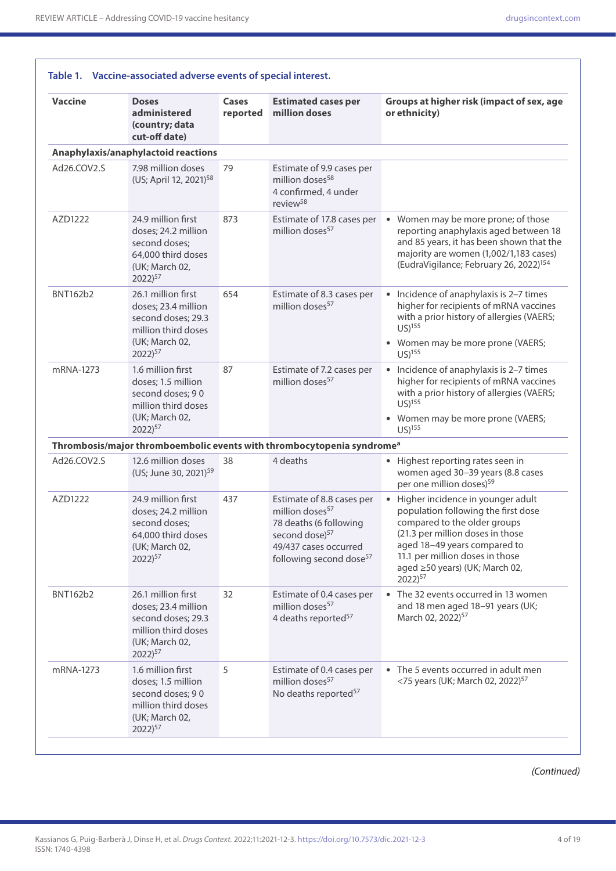| <b>Vaccine</b>  | <b>Doses</b><br>administered<br>(country; data<br>cut-off date)                                                                 | Cases<br>reported | <b>Estimated cases per</b><br>million doses                                                                                                                                      | Groups at higher risk (impact of sex, age<br>or ethnicity)                                                                                                                                                                                                                 |
|-----------------|---------------------------------------------------------------------------------------------------------------------------------|-------------------|----------------------------------------------------------------------------------------------------------------------------------------------------------------------------------|----------------------------------------------------------------------------------------------------------------------------------------------------------------------------------------------------------------------------------------------------------------------------|
|                 | Anaphylaxis/anaphylactoid reactions                                                                                             |                   |                                                                                                                                                                                  |                                                                                                                                                                                                                                                                            |
| Ad26.COV2.S     | 7.98 million doses<br>(US; April 12, 2021) <sup>58</sup>                                                                        | 79                | Estimate of 9.9 cases per<br>million doses <sup>58</sup><br>4 confirmed, 4 under<br>review <sup>58</sup>                                                                         |                                                                                                                                                                                                                                                                            |
| AZD1222         | 24.9 million first<br>doses; 24.2 million<br>second doses;<br>64,000 third doses<br>(UK; March 02,<br>$2022)^{57}$              | 873               | Estimate of 17.8 cases per<br>million doses <sup>57</sup>                                                                                                                        | • Women may be more prone; of those<br>reporting anaphylaxis aged between 18<br>and 85 years, it has been shown that the<br>majority are women (1,002/1,183 cases)<br>(EudraVigilance; February 26, 2022) <sup>154</sup>                                                   |
| <b>BNT162b2</b> | 26.1 million first<br>doses; 23.4 million<br>second doses; 29.3<br>million third doses<br>(UK; March 02,<br>2022) <sup>57</sup> | 654               | Estimate of 8.3 cases per<br>million doses <sup>57</sup>                                                                                                                         | • Incidence of anaphylaxis is 2-7 times<br>higher for recipients of mRNA vaccines<br>with a prior history of allergies (VAERS;<br>$US)^{155}$<br>• Women may be more prone (VAERS;<br>$US)$ <sup>155</sup>                                                                 |
| mRNA-1273       | 1.6 million first<br>doses; 1.5 million<br>second doses; 90<br>million third doses<br>(UK; March 02,<br>2022) <sup>57</sup>     | 87                | Estimate of 7.2 cases per<br>million doses <sup>57</sup>                                                                                                                         | • Incidence of anaphylaxis is 2-7 times<br>higher for recipients of mRNA vaccines<br>with a prior history of allergies (VAERS;<br>$US)^{155}$<br>• Women may be more prone (VAERS;<br>$US)$ <sup>155</sup>                                                                 |
|                 |                                                                                                                                 |                   | Thrombosis/major thromboembolic events with thrombocytopenia syndrome <sup>a</sup>                                                                                               |                                                                                                                                                                                                                                                                            |
| Ad26.COV2.S     | 12.6 million doses<br>(US; June 30, 2021) <sup>59</sup>                                                                         | 38                | 4 deaths                                                                                                                                                                         | • Highest reporting rates seen in<br>women aged 30-39 years (8.8 cases<br>per one million doses) <sup>59</sup>                                                                                                                                                             |
| AZD1222         | 24.9 million first<br>doses; 24.2 million<br>second doses;<br>64,000 third doses<br>(UK; March 02,<br>$2022)^{57}$              | 437               | Estimate of 8.8 cases per<br>million doses <sup>57</sup><br>78 deaths (6 following<br>second dose) <sup>57</sup><br>49/437 cases occurred<br>following second dose <sup>57</sup> | • Higher incidence in younger adult<br>population following the first dose<br>compared to the older groups<br>(21.3 per million doses in those<br>aged 18-49 years compared to<br>11.1 per million doses in those<br>aged ≥50 years) (UK; March 02,<br>2022) <sup>57</sup> |
| <b>BNT162b2</b> | 26.1 million first<br>doses; 23.4 million<br>second doses; 29.3<br>million third doses<br>(UK; March 02,<br>$2022)^{57}$        | 32                | Estimate of 0.4 cases per<br>million doses <sup>57</sup><br>4 deaths reported <sup>57</sup>                                                                                      | • The 32 events occurred in 13 women<br>and 18 men aged 18-91 years (UK;<br>March 02, 2022) <sup>57</sup>                                                                                                                                                                  |
| mRNA-1273       | 1.6 million first<br>doses; 1.5 million<br>second doses; 90<br>million third doses<br>(UK; March 02,<br>2022) <sup>57</sup>     | 5                 | Estimate of 0.4 cases per<br>million doses <sup>57</sup><br>No deaths reported <sup>57</sup>                                                                                     | • The 5 events occurred in adult men<br><75 years (UK; March 02, 2022) <sup>57</sup>                                                                                                                                                                                       |

*(Continued)*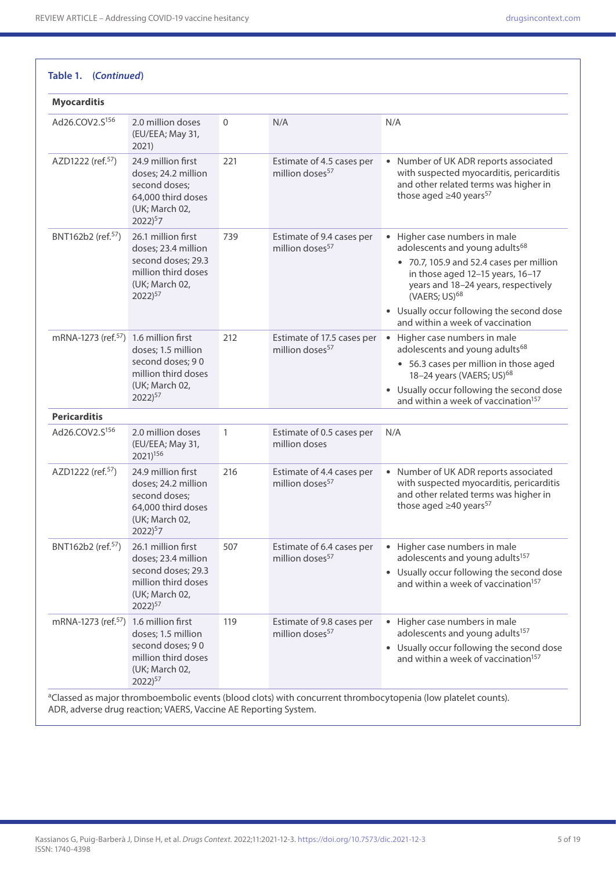| <b>Myocarditis</b>                                |                                                                                                                                 |              |                                                           |                                                                                                                                                                                                                                                                                                                  |
|---------------------------------------------------|---------------------------------------------------------------------------------------------------------------------------------|--------------|-----------------------------------------------------------|------------------------------------------------------------------------------------------------------------------------------------------------------------------------------------------------------------------------------------------------------------------------------------------------------------------|
| Ad26.COV2.S <sup>156</sup>                        | 2.0 million doses<br>(EU/EEA; May 31,<br>2021)                                                                                  | $\mathbf{0}$ | N/A                                                       | N/A                                                                                                                                                                                                                                                                                                              |
| AZD1222 (ref. <sup>57</sup> )                     | 24.9 million first<br>doses; 24.2 million<br>second doses;<br>64,000 third doses<br>(UK; March 02,<br>$2022)^{5}7$              | 221          | Estimate of 4.5 cases per<br>million doses <sup>57</sup>  | • Number of UK ADR reports associated<br>with suspected myocarditis, pericarditis<br>and other related terms was higher in<br>those aged $\geq$ 40 years <sup>57</sup>                                                                                                                                           |
| BNT162b2 (ref. <sup>57</sup> )                    | 26.1 million first<br>doses; 23.4 million<br>second doses; 29.3<br>million third doses<br>(UK; March 02,<br>2022) <sup>57</sup> | 739          | Estimate of 9.4 cases per<br>million doses <sup>57</sup>  | • Higher case numbers in male<br>adolescents and young adults <sup>68</sup><br>• 70.7, 105.9 and 52.4 cases per million<br>in those aged 12-15 years, 16-17<br>years and 18-24 years, respectively<br>(VAERS; US) <sup>68</sup><br>• Usually occur following the second dose<br>and within a week of vaccination |
| mRNA-1273 (ref. <sup>57</sup> ) 1.6 million first | doses; 1.5 million<br>second doses; 90<br>million third doses<br>(UK; March 02,<br>$2022)^{57}$                                 | 212          | Estimate of 17.5 cases per<br>million doses <sup>57</sup> | Higher case numbers in male<br>$\bullet$<br>adolescents and young adults <sup>68</sup><br>• 56.3 cases per million in those aged<br>18-24 years (VAERS; US) <sup>68</sup><br>• Usually occur following the second dose<br>and within a week of vaccination <sup>157</sup>                                        |
| <b>Pericarditis</b>                               |                                                                                                                                 |              |                                                           |                                                                                                                                                                                                                                                                                                                  |
| Ad26.COV2.S156                                    | 2.0 million doses<br>(EU/EEA; May 31,<br>2021) <sup>156</sup>                                                                   | $\mathbf{1}$ | Estimate of 0.5 cases per<br>million doses                | N/A                                                                                                                                                                                                                                                                                                              |
| AZD1222 (ref. <sup>57</sup> )                     | 24.9 million first<br>doses; 24.2 million<br>second doses;<br>64,000 third doses<br>(UK: March 02,<br>$2022)^{5}7$              | 216          | Estimate of 4.4 cases per<br>million doses <sup>57</sup>  | • Number of UK ADR reports associated<br>with suspected myocarditis, pericarditis<br>and other related terms was higher in<br>those aged $\geq$ 40 years <sup>57</sup>                                                                                                                                           |
| BNT162b2 (ref. <sup>57</sup> )                    | 26.1 million first<br>doses; 23.4 million<br>second doses; 29.3<br>million third doses<br>(UK; March 02,<br>2022) <sup>57</sup> | 507          | Estimate of 6.4 cases per<br>million doses <sup>57</sup>  | • Higher case numbers in male<br>adolescents and young adults <sup>157</sup><br>• Usually occur following the second dose<br>and within a week of vaccination <sup>157</sup>                                                                                                                                     |
| mRNA-1273 (ref. <sup>57</sup> )                   | 1.6 million first<br>doses; 1.5 million<br>second doses; 90<br>million third doses<br>(UK; March 02,<br>$2022)^{57}$            | 119          | Estimate of 9.8 cases per<br>million doses <sup>57</sup>  | • Higher case numbers in male<br>adolescents and young adults <sup>157</sup><br>• Usually occur following the second dose<br>and within a week of vaccination <sup>157</sup>                                                                                                                                     |

ADR, adverse drug reaction; VAERS, Vaccine AE Reporting System.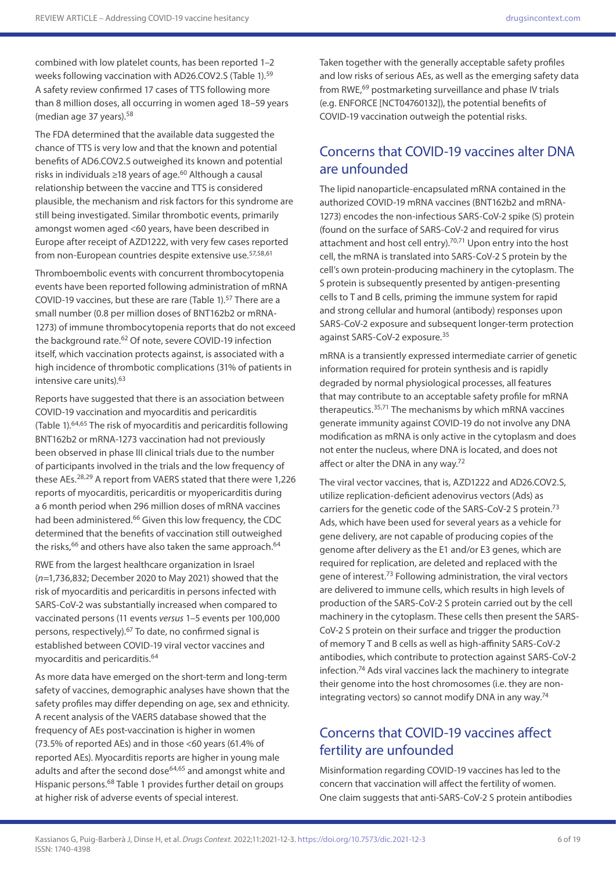combined with low platelet counts, has been reported 1–2 weeks following vaccination with AD26.COV2.S (Table 1).59 A safety review confirmed 17 cases of TTS following more than 8 million doses, all occurring in women aged 18–59 years (median age 37 years).58

The FDA determined that the available data suggested the chance of TTS is very low and that the known and potential benefits of AD6.COV2.S outweighed its known and potential risks in individuals ≥18 years of age.<sup>60</sup> Although a causal relationship between the vaccine and TTS is considered plausible, the mechanism and risk factors for this syndrome are still being investigated. Similar thrombotic events, primarily amongst women aged <60 years, have been described in Europe after receipt of AZD1222, with very few cases reported from non-European countries despite extensive use.<sup>57,58,61</sup>

Thromboembolic events with concurrent thrombocytopenia events have been reported following administration of mRNA COVID-19 vaccines, but these are rare (Table 1).<sup>57</sup> There are a small number (0.8 per million doses of BNT162b2 or mRNA-1273) of immune thrombocytopenia reports that do not exceed the background rate.<sup>62</sup> Of note, severe COVID-19 infection itself, which vaccination protects against, is associated with a high incidence of thrombotic complications (31% of patients in intensive care units).63

Reports have suggested that there is an association between COVID-19 vaccination and myocarditis and pericarditis (Table 1).64,65 The risk of myocarditis and pericarditis following BNT162b2 or mRNA-1273 vaccination had not previously been observed in phase III clinical trials due to the number of participants involved in the trials and the low frequency of these AEs.28,29 A report from VAERS stated that there were 1,226 reports of myocarditis, pericarditis or myopericarditis during a 6 month period when 296 million doses of mRNA vaccines had been administered.<sup>66</sup> Given this low frequency, the CDC determined that the benefits of vaccination still outweighed the risks,  $66$  and others have also taken the same approach.  $64$ 

RWE from the largest healthcare organization in Israel (*n*=1,736,832; December 2020 to May 2021) showed that the risk of myocarditis and pericarditis in persons infected with SARS-CoV-2 was substantially increased when compared to vaccinated persons (11 events *versus* 1–5 events per 100,000 persons, respectively).67 To date, no confirmed signal is established between COVID-19 viral vector vaccines and myocarditis and pericarditis.64

As more data have emerged on the short-term and long-term safety of vaccines, demographic analyses have shown that the safety profiles may differ depending on age, sex and ethnicity. A recent analysis of the VAERS database showed that the frequency of AEs post-vaccination is higher in women (73.5% of reported AEs) and in those <60 years (61.4% of reported AEs). Myocarditis reports are higher in young male adults and after the second dose<sup>64,65</sup> and amongst white and Hispanic persons.68 Table 1 provides further detail on groups at higher risk of adverse events of special interest.

Taken together with the generally acceptable safety profiles and low risks of serious AEs, as well as the emerging safety data from RWE,69 postmarketing surveillance and phase IV trials (e.g. ENFORCE [NCT04760132]), the potential benefits of COVID-19 vaccination outweigh the potential risks.

## Concerns that COVID-19 vaccines alter DNA are unfounded

The lipid nanoparticle-encapsulated mRNA contained in the authorized COVID-19 mRNA vaccines (BNT162b2 and mRNA-1273) encodes the non-infectious SARS-CoV-2 spike (S) protein (found on the surface of SARS-CoV-2 and required for virus attachment and host cell entry).<sup>70,71</sup> Upon entry into the host cell, the mRNA is translated into SARS-CoV-2 S protein by the cell's own protein-producing machinery in the cytoplasm. The S protein is subsequently presented by antigen-presenting cells to T and B cells, priming the immune system for rapid and strong cellular and humoral (antibody) responses upon SARS-CoV-2 exposure and subsequent longer-term protection against SARS-CoV-2 exposure.35

mRNA is a transiently expressed intermediate carrier of genetic information required for protein synthesis and is rapidly degraded by normal physiological processes, all features that may contribute to an acceptable safety profile for mRNA therapeutics.35,71 The mechanisms by which mRNA vaccines generate immunity against COVID-19 do not involve any DNA modification as mRNA is only active in the cytoplasm and does not enter the nucleus, where DNA is located, and does not affect or alter the DNA in any way.72

The viral vector vaccines, that is, AZD1222 and AD26.COV2.S, utilize replication‐deficient adenovirus vectors (Ads) as carriers for the genetic code of the SARS‐CoV‐2 S protein.73 Ads, which have been used for several years as a vehicle for gene delivery, are not capable of producing copies of the genome after delivery as the E1 and/or E3 genes, which are required for replication, are deleted and replaced with the gene of interest.73 Following administration, the viral vectors are delivered to immune cells, which results in high levels of production of the SARS‐CoV‐2 S protein carried out by the cell machinery in the cytoplasm. These cells then present the SARS‐ CoV‐2 S protein on their surface and trigger the production of memory T and B cells as well as high-affinity SARS-CoV-2 antibodies, which contribute to protection against SARS-CoV-2 infection.74 Ads viral vaccines lack the machinery to integrate their genome into the host chromosomes (i.e. they are nonintegrating vectors) so cannot modify DNA in any way.74

## Concerns that COVID-19 vaccines affect fertility are unfounded

Misinformation regarding COVID-19 vaccines has led to the concern that vaccination will affect the fertility of women. One claim suggests that anti-SARS-CoV-2 S protein antibodies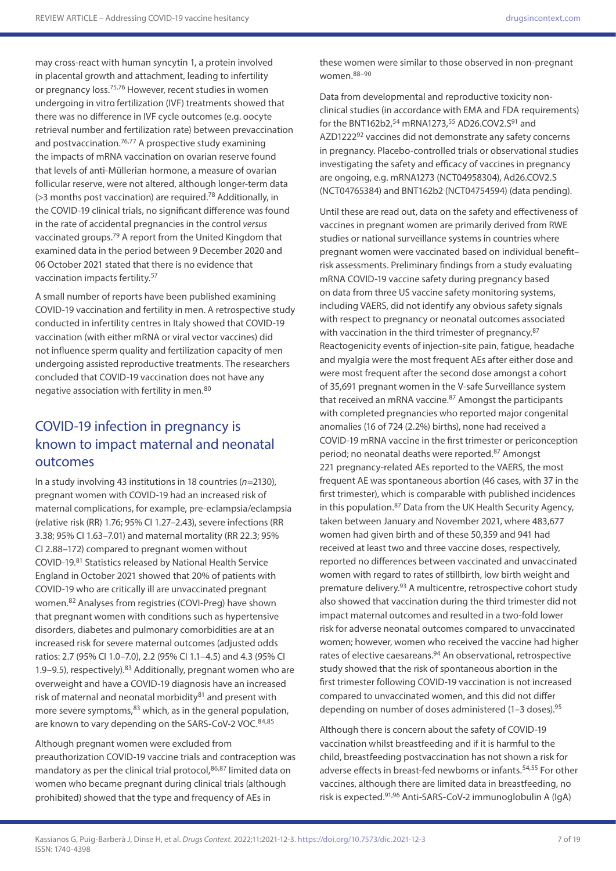may cross-react with human syncytin 1, a protein involved in placental growth and attachment, leading to infertility or pregnancy loss.75,76 However, recent studies in women undergoing in vitro fertilization (IVF) treatments showed that there was no difference in IVF cycle outcomes (e.g. oocyte retrieval number and fertilization rate) between prevaccination and postvaccination.<sup>76,77</sup> A prospective study examining the impacts of mRNA vaccination on ovarian reserve found that levels of anti-Müllerian hormone, a measure of ovarian follicular reserve, were not altered, although longer-term data (>3 months post vaccination) are required.78 Additionally, in the COVID-19 clinical trials, no significant difference was found in the rate of accidental pregnancies in the control *versus* vaccinated groups.79 A report from the United Kingdom that examined data in the period between 9 December 2020 and 06 October 2021 stated that there is no evidence that vaccination impacts fertility.57

A small number of reports have been published examining COVID-19 vaccination and fertility in men. A retrospective study conducted in infertility centres in Italy showed that COVID-19 vaccination (with either mRNA or viral vector vaccines) did not influence sperm quality and fertilization capacity of men undergoing assisted reproductive treatments. The researchers concluded that COVID-19 vaccination does not have any negative association with fertility in men.<sup>80</sup>

## COVID-19 infection in pregnancy is known to impact maternal and neonatal outcomes

In a study involving 43 institutions in 18 countries (*n*=2130), pregnant women with COVID-19 had an increased risk of maternal complications, for example, pre-eclampsia/eclampsia (relative risk (RR) 1.76; 95% CI 1.27–2.43), severe infections (RR 3.38; 95% CI 1.63–7.01) and maternal mortality (RR 22.3; 95% CI 2.88–172) compared to pregnant women without COVID-19.81 Statistics released by National Health Service England in October 2021 showed that 20% of patients with COVID-19 who are critically ill are unvaccinated pregnant women.82 Analyses from registries (COVI-Preg) have shown that pregnant women with conditions such as hypertensive disorders, diabetes and pulmonary comorbidities are at an increased risk for severe maternal outcomes (adjusted odds ratios: 2.7 (95% CI 1.0–7.0), 2.2 (95% CI 1.1–4.5) and 4.3 (95% CI 1.9–9.5), respectively).<sup>83</sup> Additionally, pregnant women who are overweight and have a COVID-19 diagnosis have an increased risk of maternal and neonatal morbidity $81$  and present with more severe symptoms, $83$  which, as in the general population, are known to vary depending on the SARS-CoV-2 VOC.<sup>84,85</sup>

Although pregnant women were excluded from preauthorization COVID-19 vaccine trials and contraception was mandatory as per the clinical trial protocol, 86,87 limited data on women who became pregnant during clinical trials (although prohibited) showed that the type and frequency of AEs in

these women were similar to those observed in non-pregnant women.88–90

Data from developmental and reproductive toxicity nonclinical studies (in accordance with EMA and FDA requirements) for the BNT162b2,<sup>54</sup> mRNA1273,<sup>55</sup> AD26.COV2.S<sup>91</sup> and AZD1222<sup>92</sup> vaccines did not demonstrate any safety concerns in pregnancy. Placebo-controlled trials or observational studies investigating the safety and efficacy of vaccines in pregnancy are ongoing, e.g. mRNA1273 (NCT04958304), Ad26.COV2.S (NCT04765384) and BNT162b2 (NCT04754594) (data pending).

Until these are read out, data on the safety and effectiveness of vaccines in pregnant women are primarily derived from RWE studies or national surveillance systems in countries where pregnant women were vaccinated based on individual benefit– risk assessments. Preliminary findings from a study evaluating mRNA COVID-19 vaccine safety during pregnancy based on data from three US vaccine safety monitoring systems, including VAERS, did not identify any obvious safety signals with respect to pregnancy or neonatal outcomes associated with vaccination in the third trimester of pregnancy.<sup>87</sup> Reactogenicity events of injection-site pain, fatigue, headache and myalgia were the most frequent AEs after either dose and were most frequent after the second dose amongst a cohort of 35,691 pregnant women in the V-safe Surveillance system that received an mRNA vaccine.<sup>87</sup> Amongst the participants with completed pregnancies who reported major congenital anomalies (16 of 724 (2.2%) births), none had received a COVID-19 mRNA vaccine in the first trimester or periconception period; no neonatal deaths were reported.87 Amongst 221 pregnancy-related AEs reported to the VAERS, the most frequent AE was spontaneous abortion (46 cases, with 37 in the first trimester), which is comparable with published incidences in this population.<sup>87</sup> Data from the UK Health Security Agency, taken between January and November 2021, where 483,677 women had given birth and of these 50,359 and 941 had received at least two and three vaccine doses, respectively, reported no differences between vaccinated and unvaccinated women with regard to rates of stillbirth, low birth weight and premature delivery.93 A multicentre, retrospective cohort study also showed that vaccination during the third trimester did not impact maternal outcomes and resulted in a two-fold lower risk for adverse neonatal outcomes compared to unvaccinated women; however, women who received the vaccine had higher rates of elective caesareans.<sup>94</sup> An observational, retrospective study showed that the risk of spontaneous abortion in the first trimester following COVID-19 vaccination is not increased compared to unvaccinated women, and this did not differ depending on number of doses administered (1-3 doses).<sup>95</sup>

Although there is concern about the safety of COVID-19 vaccination whilst breastfeeding and if it is harmful to the child, breastfeeding postvaccination has not shown a risk for adverse effects in breast-fed newborns or infants.<sup>54,55</sup> For other vaccines, although there are limited data in breastfeeding, no risk is expected.91,96 Anti-SARS-CoV-2 immunoglobulin A (IgA)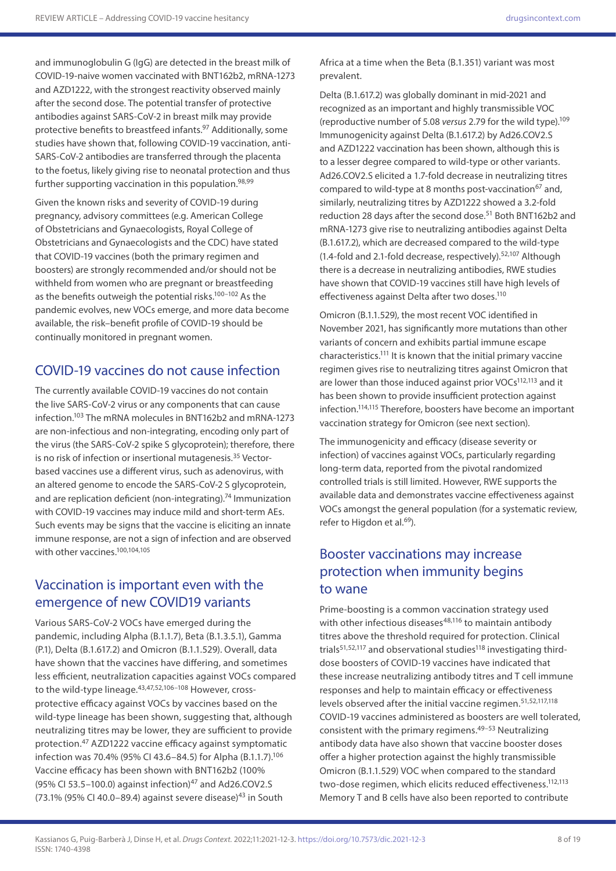and immunoglobulin G (IgG) are detected in the breast milk of COVID-19-naive women vaccinated with BNT162b2, mRNA-1273 and AZD1222, with the strongest reactivity observed mainly after the second dose. The potential transfer of protective antibodies against SARS-CoV-2 in breast milk may provide protective benefits to breastfeed infants.<sup>97</sup> Additionally, some studies have shown that, following COVID-19 vaccination, anti-SARS-CoV-2 antibodies are transferred through the placenta to the foetus, likely giving rise to neonatal protection and thus further supporting vaccination in this population.<sup>98,99</sup>

Given the known risks and severity of COVID-19 during pregnancy, advisory committees (e.g. American College of Obstetricians and Gynaecologists, Royal College of Obstetricians and Gynaecologists and the CDC) have stated that COVID-19 vaccines (both the primary regimen and boosters) are strongly recommended and/or should not be withheld from women who are pregnant or breastfeeding as the benefits outweigh the potential risks.100–102 As the pandemic evolves, new VOCs emerge, and more data become available, the risk–benefit profile of COVID-19 should be continually monitored in pregnant women.

### COVID-19 vaccines do not cause infection

The currently available COVID-19 vaccines do not contain the live SARS-CoV-2 virus or any components that can cause infection.103 The mRNA molecules in BNT162b2 and mRNA-1273 are non-infectious and non-integrating, encoding only part of the virus (the SARS-CoV-2 spike S glycoprotein); therefore, there is no risk of infection or insertional mutagenesis.<sup>35</sup> Vectorbased vaccines use a different virus, such as adenovirus, with an altered genome to encode the SARS-CoV-2 S glycoprotein, and are replication deficient (non-integrating).<sup>74</sup> Immunization with COVID-19 vaccines may induce mild and short-term AEs. Such events may be signs that the vaccine is eliciting an innate immune response, are not a sign of infection and are observed with other vaccines.100,104,105

## Vaccination is important even with the emergence of new COVID19 variants

Various SARS-CoV-2 VOCs have emerged during the pandemic, including Alpha (B.1.1.7), Beta (B.1.3.5.1), Gamma (P.1), Delta (B.1.617.2) and Omicron (B.1.1.529). Overall, data have shown that the vaccines have differing, and sometimes less efficient, neutralization capacities against VOCs compared to the wild-type lineage.<sup>43,47,52,106-108</sup> However, crossprotective efficacy against VOCs by vaccines based on the wild-type lineage has been shown, suggesting that, although neutralizing titres may be lower, they are sufficient to provide protection.47 AZD1222 vaccine efficacy against symptomatic infection was 70.4% (95% CI 43.6–84.5) for Alpha (B.1.1.7).106 Vaccine efficacy has been shown with BNT162b2 (100% (95% CJ 53.5–100.0) against infection) $47$  and Ad26.COV2.S (73.1% (95% CI 40.0-89.4) against severe disease)<sup>43</sup> in South

Africa at a time when the Beta (B.1.351) variant was most prevalent.

Delta (B.1.617.2) was globally dominant in mid-2021 and recognized as an important and highly transmissible VOC (reproductive number of 5.08 *versus* 2.79 for the wild type).109 Immunogenicity against Delta (B.1.617.2) by Ad26.COV2.S and AZD1222 vaccination has been shown, although this is to a lesser degree compared to wild-type or other variants. Ad26.COV2.S elicited a 1.7-fold decrease in neutralizing titres compared to wild-type at 8 months post-vaccination<sup>67</sup> and, similarly, neutralizing titres by AZD1222 showed a 3.2-fold reduction 28 days after the second dose.<sup>51</sup> Both BNT162b2 and mRNA-1273 give rise to neutralizing antibodies against Delta (B.1.617.2), which are decreased compared to the wild-type (1.4-fold and 2.1-fold decrease, respectively).<sup>52,107</sup> Although there is a decrease in neutralizing antibodies, RWE studies have shown that COVID-19 vaccines still have high levels of effectiveness against Delta after two doses.<sup>110</sup>

Omicron (B.1.1.529), the most recent VOC identified in November 2021, has significantly more mutations than other variants of concern and exhibits partial immune escape characteristics.<sup>111</sup> It is known that the initial primary vaccine regimen gives rise to neutralizing titres against Omicron that are lower than those induced against prior VOCs<sup>112,113</sup> and it has been shown to provide insufficient protection against infection.114,115 Therefore, boosters have become an important vaccination strategy for Omicron (see next section).

The immunogenicity and efficacy (disease severity or infection) of vaccines against VOCs, particularly regarding long-term data, reported from the pivotal randomized controlled trials is still limited. However, RWE supports the available data and demonstrates vaccine effectiveness against VOCs amongst the general population (for a systematic review, refer to Higdon et al.<sup>69</sup>).

## Booster vaccinations may increase protection when immunity begins to wane

Prime-boosting is a common vaccination strategy used with other infectious diseases<sup>48,116</sup> to maintain antibody titres above the threshold required for protection. Clinical trials $51,52,117$  and observational studies $118$  investigating thirddose boosters of COVID-19 vaccines have indicated that these increase neutralizing antibody titres and T cell immune responses and help to maintain efficacy or effectiveness levels observed after the initial vaccine regimen.<sup>51,52,117,118</sup> COVID-19 vaccines administered as boosters are well tolerated, consistent with the primary regimens.49–53 Neutralizing antibody data have also shown that vaccine booster doses offer a higher protection against the highly transmissible Omicron (B.1.1.529) VOC when compared to the standard two-dose regimen, which elicits reduced effectiveness.<sup>112,113</sup> Memory T and B cells have also been reported to contribute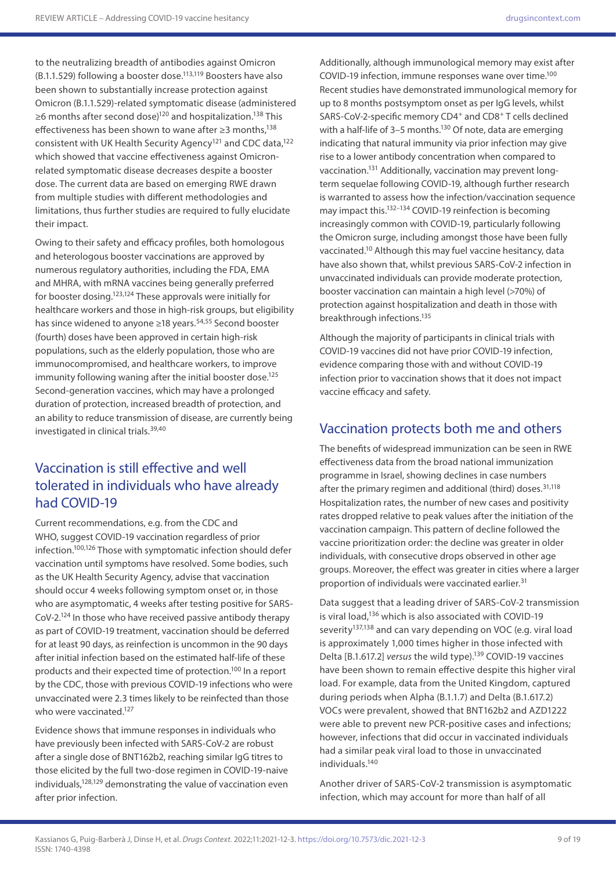to the neutralizing breadth of antibodies against Omicron (B.1.1.529) following a booster dose.113,119 Boosters have also been shown to substantially increase protection against Omicron (B.1.1.529)-related symptomatic disease (administered ≥6 months after second dose)<sup>120</sup> and hospitalization.<sup>138</sup> This effectiveness has been shown to wane after ≥3 months,<sup>138</sup> consistent with UK Health Security Agency<sup>121</sup> and CDC data,<sup>122</sup> which showed that vaccine effectiveness against Omicronrelated symptomatic disease decreases despite a booster dose. The current data are based on emerging RWE drawn from multiple studies with different methodologies and limitations, thus further studies are required to fully elucidate their impact.

Owing to their safety and efficacy profiles, both homologous and heterologous booster vaccinations are approved by numerous regulatory authorities, including the FDA, EMA and MHRA, with mRNA vaccines being generally preferred for booster dosing.123,124 These approvals were initially for healthcare workers and those in high-risk groups, but eligibility has since widened to anyone ≥18 years.<sup>54,55</sup> Second booster (fourth) doses have been approved in certain high-risk populations, such as the elderly population, those who are immunocompromised, and healthcare workers, to improve immunity following waning after the initial booster dose.<sup>125</sup> Second-generation vaccines, which may have a prolonged duration of protection, increased breadth of protection, and an ability to reduce transmission of disease, are currently being investigated in clinical trials.39,40

## Vaccination is still effective and well tolerated in individuals who have already had COVID-19

Current recommendations, e.g. from the CDC and WHO, suggest COVID-19 vaccination regardless of prior infection.100,126 Those with symptomatic infection should defer vaccination until symptoms have resolved. Some bodies, such as the UK Health Security Agency, advise that vaccination should occur 4 weeks following symptom onset or, in those who are asymptomatic, 4 weeks after testing positive for SARS-CoV-2.124 In those who have received passive antibody therapy as part of COVID-19 treatment, vaccination should be deferred for at least 90 days, as reinfection is uncommon in the 90 days after initial infection based on the estimated half-life of these products and their expected time of protection.100 In a report by the CDC, those with previous COVID-19 infections who were unvaccinated were 2.3 times likely to be reinfected than those who were vaccinated.<sup>127</sup>

Evidence shows that immune responses in individuals who have previously been infected with SARS-CoV-2 are robust after a single dose of BNT162b2, reaching similar IgG titres to those elicited by the full two-dose regimen in COVID-19-naive individuals,128,129 demonstrating the value of vaccination even after prior infection.

Additionally, although immunological memory may exist after COVID-19 infection, immune responses wane over time.100 Recent studies have demonstrated immunological memory for up to 8 months postsymptom onset as per IgG levels, whilst SARS-CoV-2-specific memory CD4+ and CD8+ T cells declined with a half-life of 3-5 months.<sup>130</sup> Of note, data are emerging indicating that natural immunity via prior infection may give rise to a lower antibody concentration when compared to vaccination.131 Additionally, vaccination may prevent longterm sequelae following COVID-19, although further research is warranted to assess how the infection/vaccination sequence may impact this.132–134 COVID-19 reinfection is becoming increasingly common with COVID-19, particularly following the Omicron surge, including amongst those have been fully vaccinated.10 Although this may fuel vaccine hesitancy, data have also shown that, whilst previous SARS-CoV-2 infection in unvaccinated individuals can provide moderate protection, booster vaccination can maintain a high level (>70%) of protection against hospitalization and death in those with breakthrough infections.135

Although the majority of participants in clinical trials with COVID-19 vaccines did not have prior COVID-19 infection, evidence comparing those with and without COVID-19 infection prior to vaccination shows that it does not impact vaccine efficacy and safety.

## Vaccination protects both me and others

The benefits of widespread immunization can be seen in RWE effectiveness data from the broad national immunization programme in Israel, showing declines in case numbers after the primary regimen and additional (third) doses.<sup>31,118</sup> Hospitalization rates, the number of new cases and positivity rates dropped relative to peak values after the initiation of the vaccination campaign. This pattern of decline followed the vaccine prioritization order: the decline was greater in older individuals, with consecutive drops observed in other age groups. Moreover, the effect was greater in cities where a larger proportion of individuals were vaccinated earlier.<sup>31</sup>

Data suggest that a leading driver of SARS-CoV-2 transmission is viral load,<sup>136</sup> which is also associated with COVID-19 severity<sup>137,138</sup> and can vary depending on VOC (e.g. viral load is approximately 1,000 times higher in those infected with Delta [B.1.617.2] *versus* the wild type).139 COVID-19 vaccines have been shown to remain effective despite this higher viral load. For example, data from the United Kingdom, captured during periods when Alpha (B.1.1.7) and Delta (B.1.617.2) VOCs were prevalent, showed that BNT162b2 and AZD1222 were able to prevent new PCR-positive cases and infections; however, infections that did occur in vaccinated individuals had a similar peak viral load to those in unvaccinated individuals.140

Another driver of SARS-CoV-2 transmission is asymptomatic infection, which may account for more than half of all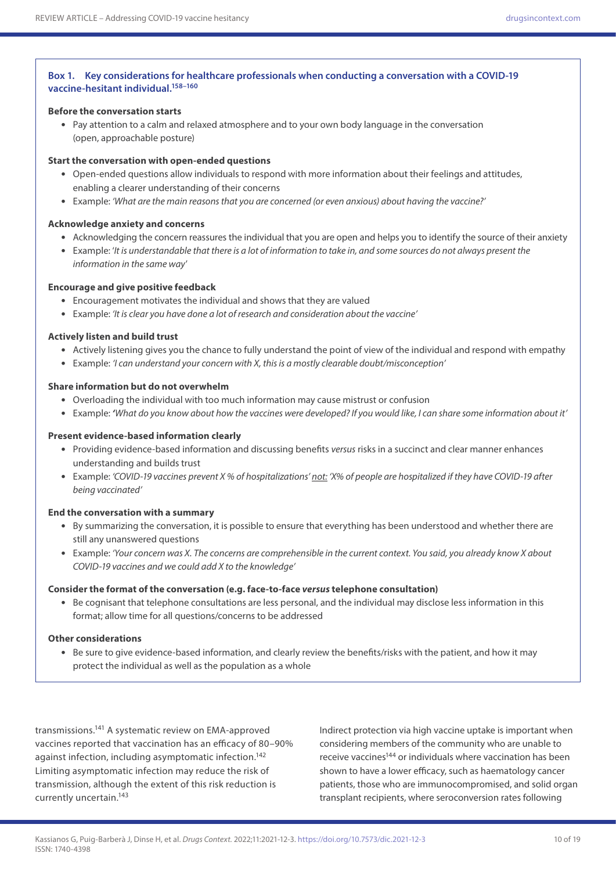#### **Box 1. Key considerations for healthcare professionals when conducting a conversation with a COVID-19 vaccine-hesitant individual.158–160**

#### **Before the conversation starts**

• Pay attention to a calm and relaxed atmosphere and to your own body language in the conversation (open, approachable posture)

#### **Start the conversation with open-ended questions**

- Open-ended questions allow individuals to respond with more information about their feelings and attitudes, enabling a clearer understanding of their concerns
- Example: *'What are the main reasons that you are concerned (or even anxious) about having the vaccine?'*

### **Acknowledge anxiety and concerns**

- Acknowledging the concern reassures the individual that you are open and helps you to identify the source of their anxiety
- Example: '*It is understandable that there is a lot of information to take in, and some sources do not always present the information in the same way*'

### **Encourage and give positive feedback**

- Encouragement motivates the individual and shows that they are valued
- Example: *'It is clear you have done a lot of research and consideration about the vaccine'*

### **Actively listen and build trust**

- Actively listening gives you the chance to fully understand the point of view of the individual and respond with empathy
- Example: *'I can understand your concern with X, this is a mostly clearable doubt/misconception'*

### **Share information but do not overwhelm**

- Overloading the individual with too much information may cause mistrust or confusion
- Example: *'What do you know about how the vaccines were developed? If you would like, I can share some information about it'*

### **Present evidence-based information clearly**

- Providing evidence-based information and discussing benefits *versus* risks in a succinct and clear manner enhances understanding and builds trust
- Example: *'COVID-19 vaccines prevent X % of hospitalizations' not: 'X% of people are hospitalized if they have COVID-19 after being vaccinated'*

### **End the conversation with a summary**

- By summarizing the conversation, it is possible to ensure that everything has been understood and whether there are still any unanswered questions
- Example: *'Your concern was X. The concerns are comprehensible in the current context. You said, you already know X about COVID-19 vaccines and we could add X to the knowledge'*

### **Consider the format of the conversation (e.g. face-to-face** *versus* **telephone consultation)**

• Be cognisant that telephone consultations are less personal, and the individual may disclose less information in this format; allow time for all questions/concerns to be addressed

### **Other considerations**

• Be sure to give evidence-based information, and clearly review the benefits/risks with the patient, and how it may protect the individual as well as the population as a whole

transmissions.141 A systematic review on EMA-approved vaccines reported that vaccination has an efficacy of 80–90% against infection, including asymptomatic infection.<sup>142</sup> Limiting asymptomatic infection may reduce the risk of transmission, although the extent of this risk reduction is currently uncertain.143

Indirect protection via high vaccine uptake is important when considering members of the community who are unable to receive vaccines<sup>144</sup> or individuals where vaccination has been shown to have a lower efficacy, such as haematology cancer patients, those who are immunocompromised, and solid organ transplant recipients, where seroconversion rates following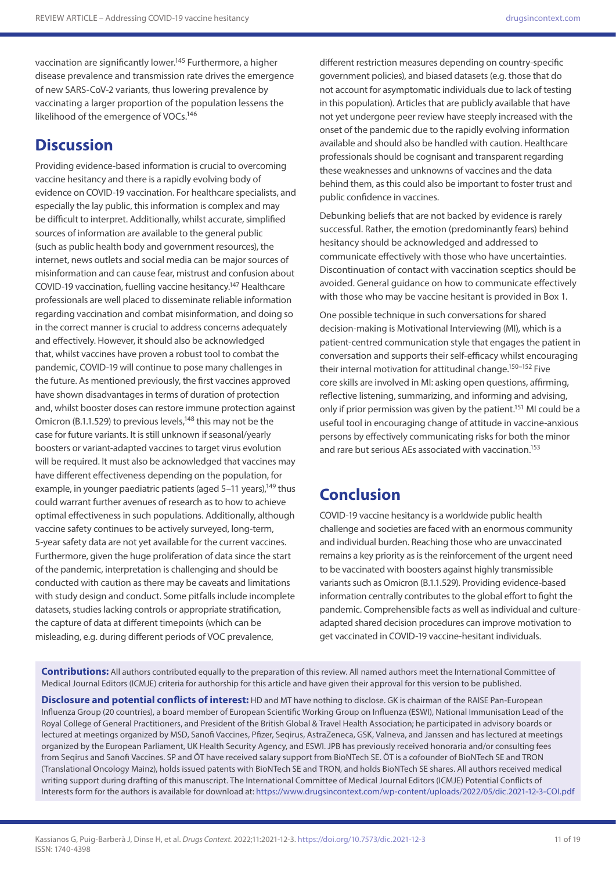vaccination are significantly lower.<sup>145</sup> Furthermore, a higher disease prevalence and transmission rate drives the emergence of new SARS-CoV-2 variants, thus lowering prevalence by vaccinating a larger proportion of the population lessens the likelihood of the emergence of VOCs.<sup>146</sup>

# **Discussion**

Providing evidence-based information is crucial to overcoming vaccine hesitancy and there is a rapidly evolving body of evidence on COVID-19 vaccination. For healthcare specialists, and especially the lay public, this information is complex and may be difficult to interpret. Additionally, whilst accurate, simplified sources of information are available to the general public (such as public health body and government resources), the internet, news outlets and social media can be major sources of misinformation and can cause fear, mistrust and confusion about COVID-19 vaccination, fuelling vaccine hesitancy.147 Healthcare professionals are well placed to disseminate reliable information regarding vaccination and combat misinformation, and doing so in the correct manner is crucial to address concerns adequately and effectively. However, it should also be acknowledged that, whilst vaccines have proven a robust tool to combat the pandemic, COVID-19 will continue to pose many challenges in the future. As mentioned previously, the first vaccines approved have shown disadvantages in terms of duration of protection and, whilst booster doses can restore immune protection against Omicron (B.1.1.529) to previous levels,<sup>148</sup> this may not be the case for future variants. It is still unknown if seasonal/yearly boosters or variant-adapted vaccines to target virus evolution will be required. It must also be acknowledged that vaccines may have different effectiveness depending on the population, for example, in younger paediatric patients (aged 5-11 years),<sup>149</sup> thus could warrant further avenues of research as to how to achieve optimal effectiveness in such populations. Additionally, although vaccine safety continues to be actively surveyed, long-term, 5-year safety data are not yet available for the current vaccines. Furthermore, given the huge proliferation of data since the start of the pandemic, interpretation is challenging and should be conducted with caution as there may be caveats and limitations with study design and conduct. Some pitfalls include incomplete datasets, studies lacking controls or appropriate stratification, the capture of data at different timepoints (which can be misleading, e.g. during different periods of VOC prevalence,

different restriction measures depending on country-specific government policies), and biased datasets (e.g. those that do not account for asymptomatic individuals due to lack of testing in this population). Articles that are publicly available that have not yet undergone peer review have steeply increased with the onset of the pandemic due to the rapidly evolving information available and should also be handled with caution. Healthcare professionals should be cognisant and transparent regarding these weaknesses and unknowns of vaccines and the data behind them, as this could also be important to foster trust and public confidence in vaccines.

Debunking beliefs that are not backed by evidence is rarely successful. Rather, the emotion (predominantly fears) behind hesitancy should be acknowledged and addressed to communicate effectively with those who have uncertainties. Discontinuation of contact with vaccination sceptics should be avoided. General guidance on how to communicate effectively with those who may be vaccine hesitant is provided in Box 1.

One possible technique in such conversations for shared decision-making is Motivational Interviewing (MI), which is a patient-centred communication style that engages the patient in conversation and supports their self-efficacy whilst encouraging their internal motivation for attitudinal change.<sup>150-152</sup> Five core skills are involved in MI: asking open questions, affirming, reflective listening, summarizing, and informing and advising, only if prior permission was given by the patient.<sup>151</sup> MI could be a useful tool in encouraging change of attitude in vaccine-anxious persons by effectively communicating risks for both the minor and rare but serious AEs associated with vaccination.<sup>153</sup>

# **Conclusion**

COVID-19 vaccine hesitancy is a worldwide public health challenge and societies are faced with an enormous community and individual burden. Reaching those who are unvaccinated remains a key priority as is the reinforcement of the urgent need to be vaccinated with boosters against highly transmissible variants such as Omicron (B.1.1.529). Providing evidence-based information centrally contributes to the global effort to fight the pandemic. Comprehensible facts as well as individual and cultureadapted shared decision procedures can improve motivation to get vaccinated in COVID-19 vaccine-hesitant individuals.

**Contributions:** All authors contributed equally to the preparation of this review. All named authors meet the International Committee of Medical Journal Editors (ICMJE) criteria for authorship for this article and have given their approval for this version to be published.

**Disclosure and potential conflicts of interest:** HD and MT have nothing to disclose. GK is chairman of the RAISE Pan-European Influenza Group (20 countries), a board member of European Scientific Working Group on Influenza (ESWI), National Immunisation Lead of the Royal College of General Practitioners, and President of the British Global & Travel Health Association; he participated in advisory boards or lectured at meetings organized by MSD, Sanofi Vaccines, Pfizer, Seqirus, AstraZeneca, GSK, Valneva, and Janssen and has lectured at meetings organized by the European Parliament, UK Health Security Agency, and ESWI. JPB has previously received honoraria and/or consulting fees from Seqirus and Sanofi Vaccines. SP and ÖT have received salary support from BioNTech SE. ÖT is a cofounder of BioNTech SE and TRON (Translational Oncology Mainz), holds issued patents with BioNTech SE and TRON, and holds BioNTech SE shares. All authors received medical writing support during drafting of this manuscript. The International Committee of Medical Journal Editors (ICMJE) Potential Conflicts of Interests form for the authors is available for download at: <https://www.drugsincontext.com/wp-content/uploads/2022/05/dic.2021-12-3-COI.pdf>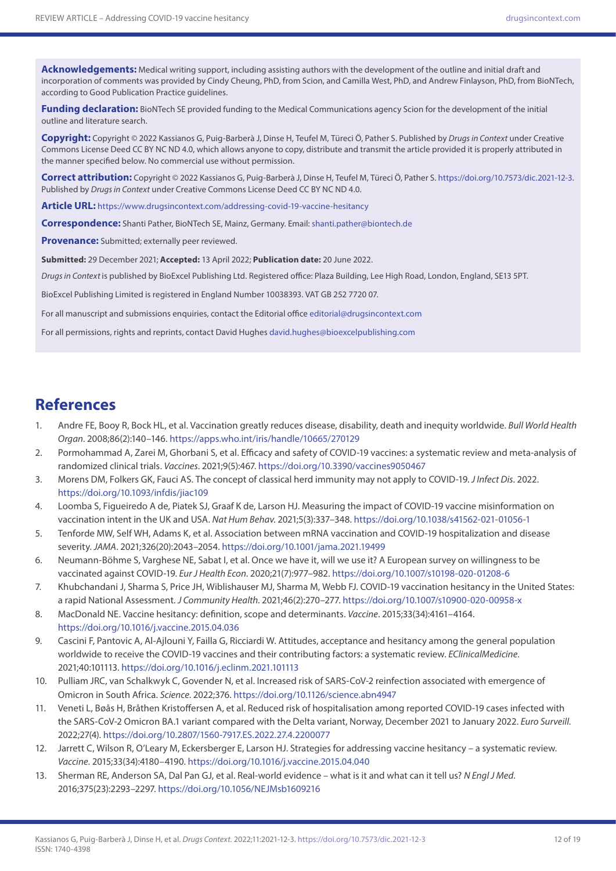**Acknowledgements:** Medical writing support, including assisting authors with the development of the outline and initial draft and incorporation of comments was provided by Cindy Cheung, PhD, from Scion, and Camilla West, PhD, and Andrew Finlayson, PhD, from BioNTech, according to Good Publication Practice guidelines.

**Funding declaration:** BioNTech SE provided funding to the Medical Communications agency Scion for the development of the initial outline and literature search.

**Copyright:** Copyright © 2022 Kassianos G, Puig-Barberà J, Dinse H, Teufel M, Türeci Ö, Pather S. Published by *Drugs in Context* under Creative Commons License Deed CC BY NC ND 4.0, which allows anyone to copy, distribute and transmit the article provided it is properly attributed in the manner specified below. No commercial use without permission.

**Correct attribution:** Copyright © 2022 Kassianos G, Puig-Barberà J, Dinse H, Teufel M, Türeci Ö, Pather S. <https://doi.org/10.7573/dic.2021-12-3>. Published by *Drugs in Context* under Creative Commons License Deed CC BY NC ND 4.0.

**Article URL:** <https://www.drugsincontext.com/addressing-covid-19-vaccine-hesitancy>

**Correspondence:** Shanti Pather, BioNTech SE, Mainz, Germany. Email: [shanti.pather@biontech.de](mailto:shanti.pather@biontech.de)

**Provenance:** Submitted; externally peer reviewed.

**Submitted:** 29 December 2021; **Accepted:** 13 April 2022; **Publication date:** 20 June 2022.

*Drugs in Context* is published by BioExcel Publishing Ltd. Registered office: Plaza Building, Lee High Road, London, England, SE13 5PT.

BioExcel Publishing Limited is registered in England Number 10038393. VAT GB 252 7720 07.

For all manuscript and submissions enquiries, contact the Editorial office [editorial@drugsincontext.com](mailto:editorial@drugsincontext.com)

For all permissions, rights and reprints, contact David Hughes [david.hughes@bioexcelpublishing.com](mailto:david.hughes@bioexcelpublishing.com)

## **References**

- 1. Andre FE, Booy R, Bock HL, et al. Vaccination greatly reduces disease, disability, death and inequity worldwide. *Bull World Health Organ*. 2008;86(2):140–146.<https://apps.who.int/iris/handle/10665/270129>
- 2. Pormohammad A, Zarei M, Ghorbani S, et al. Efficacy and safety of COVID-19 vaccines: a systematic review and meta-analysis of randomized clinical trials. *Vaccines*. 2021;9(5):467. <https://doi.org/10.3390/vaccines9050467>
- 3. Morens DM, Folkers GK, Fauci AS. The concept of classical herd immunity may not apply to COVID-19. *J Infect Dis*. 2022. <https://doi.org/10.1093/infdis/jiac109>
- 4. Loomba S, Figueiredo A de, Piatek SJ, Graaf K de, Larson HJ. Measuring the impact of COVID-19 vaccine misinformation on vaccination intent in the UK and USA. *Nat Hum Behav*. 2021;5(3):337–348.<https://doi.org/10.1038/s41562-021-01056-1>
- 5. Tenforde MW, Self WH, Adams K, et al. Association between mRNA vaccination and COVID-19 hospitalization and disease severity. *JAMA*. 2021;326(20):2043–2054. <https://doi.org/10.1001/jama.2021.19499>
- 6. Neumann-Böhme S, Varghese NE, Sabat I, et al. Once we have it, will we use it? A European survey on willingness to be vaccinated against COVID-19. *Eur J Health Econ*. 2020;21(7):977–982.<https://doi.org/10.1007/s10198-020-01208-6>
- 7. Khubchandani J, Sharma S, Price JH, Wiblishauser MJ, Sharma M, Webb FJ. COVID-19 vaccination hesitancy in the United States: a rapid National Assessment. *J Community Health*. 2021;46(2):270–277.<https://doi.org/10.1007/s10900-020-00958-x>
- 8. MacDonald NE. Vaccine hesitancy: definition, scope and determinants. *Vaccine*. 2015;33(34):4161–4164. <https://doi.org/10.1016/j.vaccine.2015.04.036>
- 9. Cascini F, Pantovic A, Al-Ajlouni Y, Failla G, Ricciardi W. Attitudes, acceptance and hesitancy among the general population worldwide to receive the COVID-19 vaccines and their contributing factors: a systematic review. *EClinicalMedicine*. 2021;40:101113.<https://doi.org/10.1016/j.eclinm.2021.101113>
- 10. Pulliam JRC, van Schalkwyk C, Govender N, et al. Increased risk of SARS-CoV-2 reinfection associated with emergence of Omicron in South Africa. *Science*. 2022;376. <https://doi.org/10.1126/science.abn4947>
- 11. Veneti L, Bøås H, Bråthen Kristoffersen A, et al. Reduced risk of hospitalisation among reported COVID-19 cases infected with the SARS-CoV-2 Omicron BA.1 variant compared with the Delta variant, Norway, December 2021 to January 2022. *Euro Surveill*. 2022;27(4). <https://doi.org/10.2807/1560-7917.ES.2022.27.4.2200077>
- 12. Jarrett C, Wilson R, O'Leary M, Eckersberger E, Larson HJ. Strategies for addressing vaccine hesitancy a systematic review. *Vaccine*. 2015;33(34):4180–4190. <https://doi.org/10.1016/j.vaccine.2015.04.040>
- 13. Sherman RE, Anderson SA, Dal Pan GJ, et al. Real-world evidence what is it and what can it tell us? *N Engl J Med*. 2016;375(23):2293–2297. <https://doi.org/10.1056/NEJMsb1609216>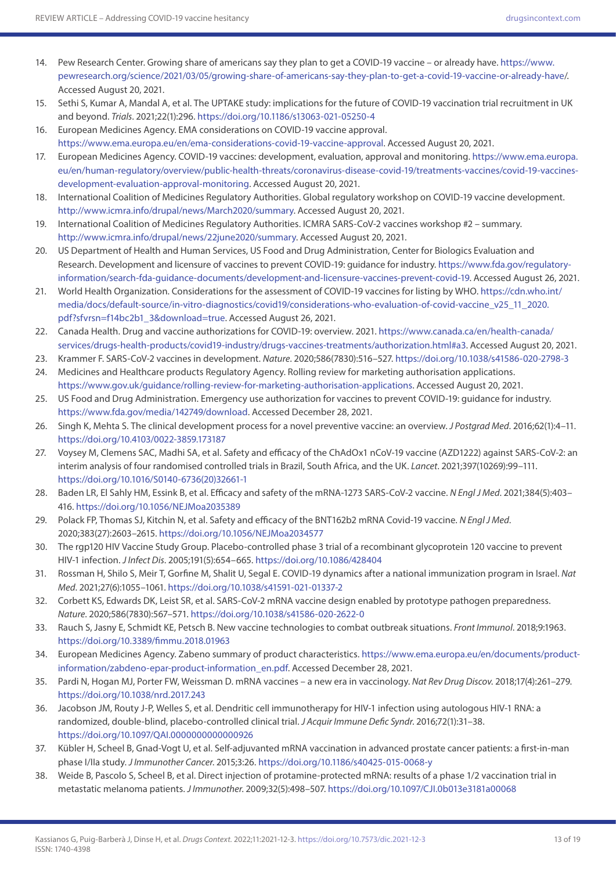- 14. Pew Research Center. Growing share of americans say they plan to get a COVID-19 vaccine or already have. [https://www.](https://www.pewresearch.org/science/2021/03/05/growing-share-of-americans-say-they-plan-to-get-a-covid-19-vaccine-or-already-have) [pewresearch.org/science/2021/03/05/growing-share-of-americans-say-they-plan-to-get-a-covid-19-vaccine-or-already-have/](https://www.pewresearch.org/science/2021/03/05/growing-share-of-americans-say-they-plan-to-get-a-covid-19-vaccine-or-already-have). Accessed August 20, 2021.
- 15. Sethi S, Kumar A, Mandal A, et al. The UPTAKE study: implications for the future of COVID-19 vaccination trial recruitment in UK and beyond. *Trials*. 2021;22(1):296. <https://doi.org/10.1186/s13063-021-05250-4>
- 16. European Medicines Agency. EMA considerations on COVID-19 vaccine approval. [https://www.ema.europa.eu/en/ema-considerations-covid-19-vaccine-approval.](https://www.ema.europa.eu/en/ema-considerations-covid-19-vaccine-approval) Accessed August 20, 2021.
- 17. European Medicines Agency. COVID-19 vaccines: development, evaluation, approval and monitoring. [https://www.ema.europa.](https://www.ema.europa.eu/en/human-regulatory/overview/public-health-threats/coronavirus-disease-covid-19/treatments-vaccines/covid-19-vaccines-development-evaluation-approval-monitoring) [eu/en/human-regulatory/overview/public-health-threats/coronavirus-disease-covid-19/treatments-vaccines/covid-19-vaccines](https://www.ema.europa.eu/en/human-regulatory/overview/public-health-threats/coronavirus-disease-covid-19/treatments-vaccines/covid-19-vaccines-development-evaluation-approval-monitoring)[development-evaluation-approval-monitoring.](https://www.ema.europa.eu/en/human-regulatory/overview/public-health-threats/coronavirus-disease-covid-19/treatments-vaccines/covid-19-vaccines-development-evaluation-approval-monitoring) Accessed August 20, 2021.
- 18. International Coalition of Medicines Regulatory Authorities. Global regulatory workshop on COVID-19 vaccine development. [http://www.icmra.info/drupal/news/March2020/summary.](http://www.icmra.info/drupal/news/March2020/summary) Accessed August 20, 2021.
- 19. International Coalition of Medicines Regulatory Authorities. ICMRA SARS-CoV-2 vaccines workshop #2 summary. <http://www.icmra.info/drupal/news/22june2020/summary>. Accessed August 20, 2021.
- 20. US Department of Health and Human Services, US Food and Drug Administration, Center for Biologics Evaluation and Research. Development and licensure of vaccines to prevent COVID-19: guidance for industry. [https://www.fda.gov/regulatory](https://www.fda.gov/regulatory-information/search-fda-guidance-documents/development-and-licensure-vaccines-prevent-covid-19)[information/search-fda-guidance-documents/development-and-licensure-vaccines-prevent-covid-19.](https://www.fda.gov/regulatory-information/search-fda-guidance-documents/development-and-licensure-vaccines-prevent-covid-19) Accessed August 26, 2021.
- 21. World Health Organization. Considerations for the assessment of COVID-19 vaccines for listing by WHO. [https://cdn.who.int/](https://cdn.who.int/media/docs/default-source/in-vitro-diagnostics/covid19/considerations-who-evaluation-of-covid-vaccine_v25_11_2020.pdf?sfvrsn=f14bc2b1_3&download=true) [media/docs/default-source/in-vitro-diagnostics/covid19/considerations-who-evaluation-of-covid-vaccine\\_v25\\_11\\_2020.](https://cdn.who.int/media/docs/default-source/in-vitro-diagnostics/covid19/considerations-who-evaluation-of-covid-vaccine_v25_11_2020.pdf?sfvrsn=f14bc2b1_3&download=true) [pdf?sfvrsn=f14bc2b1\\_3&download=true.](https://cdn.who.int/media/docs/default-source/in-vitro-diagnostics/covid19/considerations-who-evaluation-of-covid-vaccine_v25_11_2020.pdf?sfvrsn=f14bc2b1_3&download=true) Accessed August 26, 2021.
- 22. Canada Health. Drug and vaccine authorizations for COVID-19: overview. 2021. [https://www.canada.ca/en/health-canada/](https://www.canada.ca/en/health-canada/services/drugs-health-products/covid19-industry/drugs-vaccines-treatments/authorization.html#a3) [services/drugs-health-products/covid19-industry/drugs-vaccines-treatments/authorization.html#a3](https://www.canada.ca/en/health-canada/services/drugs-health-products/covid19-industry/drugs-vaccines-treatments/authorization.html#a3). Accessed August 20, 2021.
- 23. Krammer F. SARS-CoV-2 vaccines in development. *Nature*. 2020;586(7830):516–527.<https://doi.org/10.1038/s41586-020-2798-3>
- 24. Medicines and Healthcare products Regulatory Agency. Rolling review for marketing authorisation applications. [https://www.gov.uk/guidance/rolling-review-for-marketing-authorisation-applications.](https://www.gov.uk/guidance/rolling-review-for-marketing-authorisation-applications) Accessed August 20, 2021.
- 25. US Food and Drug Administration. Emergency use authorization for vaccines to prevent COVID-19: guidance for industry. [https://www.fda.gov/media/142749/download.](https://www.fda.gov/media/142749/download) Accessed December 28, 2021.
- 26. Singh K, Mehta S. The clinical development process for a novel preventive vaccine: an overview. *J Postgrad Med*. 2016;62(1):4–11. <https://doi.org/10.4103/0022-3859.173187>
- 27. Voysey M, Clemens SAC, Madhi SA, et al. Safety and efficacy of the ChAdOx1 nCoV-19 vaccine (AZD1222) against SARS-CoV-2: an interim analysis of four randomised controlled trials in Brazil, South Africa, and the UK. *Lancet*. 2021;397(10269):99–111. [https://doi.org/10.1016/S0140-6736\(20\)32661-1](https://doi.org/10.1016/S0140-6736(20)32661-1)
- 28. Baden LR, El Sahly HM, Essink B, et al. Efficacy and safety of the mRNA-1273 SARS-CoV-2 vaccine. *N Engl J Med*. 2021;384(5):403– 416. <https://doi.org/10.1056/NEJMoa2035389>
- 29. Polack FP, Thomas SJ, Kitchin N, et al. Safety and efficacy of the BNT162b2 mRNA Covid-19 vaccine. *N Engl J Med*. 2020;383(27):2603–2615. <https://doi.org/10.1056/NEJMoa2034577>
- 30. The rgp120 HIV Vaccine Study Group. Placebo-controlled phase 3 trial of a recombinant glycoprotein 120 vaccine to prevent HIV-1 infection. *J Infect Dis*. 2005;191(5):654–665. <https://doi.org/10.1086/428404>
- 31. Rossman H, Shilo S, Meir T, Gorfine M, Shalit U, Segal E. COVID-19 dynamics after a national immunization program in Israel. *Nat Med*. 2021;27(6):1055–1061.<https://doi.org/10.1038/s41591-021-01337-2>
- 32. Corbett KS, Edwards DK, Leist SR, et al. SARS-CoV-2 mRNA vaccine design enabled by prototype pathogen preparedness. *Nature*. 2020;586(7830):567–571.<https://doi.org/10.1038/s41586-020-2622-0>
- 33. Rauch S, Jasny E, Schmidt KE, Petsch B. New vaccine technologies to combat outbreak situations. *Front Immunol*. 2018;9:1963. <https://doi.org/10.3389/fimmu.2018.01963>
- 34. European Medicines Agency. Zabeno summary of product characteristics. [https://www.ema.europa.eu/en/documents/product](https://www.ema.europa.eu/en/documents/product-information/zabdeno-epar-product-information_en.pdf)[information/zabdeno-epar-product-information\\_en.pdf](https://www.ema.europa.eu/en/documents/product-information/zabdeno-epar-product-information_en.pdf). Accessed December 28, 2021.
- 35. Pardi N, Hogan MJ, Porter FW, Weissman D. mRNA vaccines a new era in vaccinology. *Nat Rev Drug Discov*. 2018;17(4):261–279. <https://doi.org/10.1038/nrd.2017.243>
- 36. Jacobson JM, Routy J-P, Welles S, et al. Dendritic cell immunotherapy for HIV-1 infection using autologous HIV-1 RNA: a randomized, double-blind, placebo-controlled clinical trial. *J Acquir Immune Defic Syndr*. 2016;72(1):31–38. <https://doi.org/10.1097/QAI.0000000000000926>
- 37. Kübler H, Scheel B, Gnad-Vogt U, et al. Self-adjuvanted mRNA vaccination in advanced prostate cancer patients: a first-in-man phase I/IIa study. *J Immunother Cancer*. 2015;3:26. <https://doi.org/10.1186/s40425-015-0068-y>
- 38. Weide B, Pascolo S, Scheel B, et al. Direct injection of protamine-protected mRNA: results of a phase 1/2 vaccination trial in metastatic melanoma patients. *J Immunother*. 2009;32(5):498–507.<https://doi.org/10.1097/CJI.0b013e3181a00068>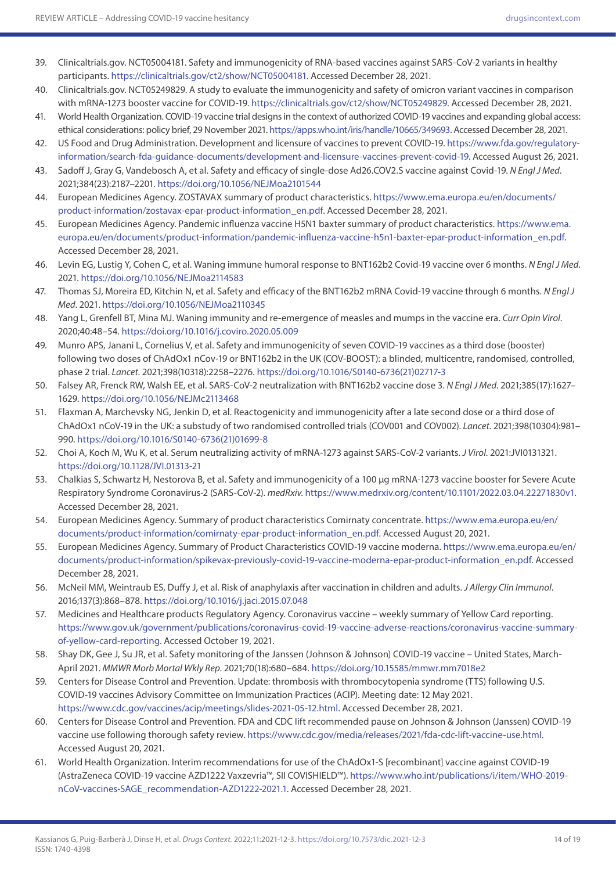- 39. Clinicaltrials.gov. NCT05004181. Safety and immunogenicity of RNA-based vaccines against SARS-CoV-2 variants in healthy participants. <https://clinicaltrials.gov/ct2/show/NCT05004181>. Accessed December 28, 2021.
- 40. Clinicaltrials.gov. NCT05249829. A study to evaluate the immunogenicity and safety of omicron variant vaccines in comparison with mRNA-1273 booster vaccine for COVID-19.<https://clinicaltrials.gov/ct2/show/NCT05249829>. Accessed December 28, 2021.
- 41. World Health Organization. COVID-19 vaccine trial designs in the context of authorized COVID-19 vaccines and expanding global access: ethical considerations: policy brief, 29 November 2021. <https://apps.who.int/iris/handle/10665/349693>. Accessed December 28, 2021.
- 42. US Food and Drug Administration. Development and licensure of vaccines to prevent COVID-19. [https://www.fda.gov/regulatory](https://www.fda.gov/regulatory-information/search-fda-guidance-documents/development-and-licensure-vaccines-prevent-covid-19)[information/search-fda-guidance-documents/development-and-licensure-vaccines-prevent-covid-19.](https://www.fda.gov/regulatory-information/search-fda-guidance-documents/development-and-licensure-vaccines-prevent-covid-19) Accessed August 26, 2021.
- 43. Sadoff J, Gray G, Vandebosch A, et al. Safety and efficacy of single-dose Ad26.COV2.S vaccine against Covid-19. *N Engl J Med*. 2021;384(23):2187–2201.<https://doi.org/10.1056/NEJMoa2101544>
- 44. European Medicines Agency. ZOSTAVAX summary of product characteristics. [https://www.ema.europa.eu/en/documents/](https://www.ema.europa.eu/en/documents/product-information/zostavax-epar-product-information_en.pdf) [product-information/zostavax-epar-product-information\\_en.pdf](https://www.ema.europa.eu/en/documents/product-information/zostavax-epar-product-information_en.pdf). Accessed December 28, 2021.
- 45. European Medicines Agency. Pandemic influenza vaccine H5N1 baxter summary of product characteristics. [https://www.ema.](https://www.ema.europa.eu/en/documents/product-information/pandemic-influenza-vaccine-h5n1-baxter-epar-product-information_en.pdf) [europa.eu/en/documents/product-information/pandemic-influenza-vaccine-h5n1-baxter-epar-product-information\\_en.pdf.](https://www.ema.europa.eu/en/documents/product-information/pandemic-influenza-vaccine-h5n1-baxter-epar-product-information_en.pdf) Accessed December 28, 2021.
- 46. Levin EG, Lustig Y, Cohen C, et al. Waning immune humoral response to BNT162b2 Covid-19 vaccine over 6 months. *N Engl J Med*. 2021.<https://doi.org/10.1056/NEJMoa2114583>
- 47. Thomas SJ, Moreira ED, Kitchin N, et al. Safety and efficacy of the BNT162b2 mRNA Covid-19 vaccine through 6 months. *N Engl J Med*. 2021. <https://doi.org/10.1056/NEJMoa2110345>
- 48. Yang L, Grenfell BT, Mina MJ. Waning immunity and re-emergence of measles and mumps in the vaccine era. *Curr Opin Virol*. 2020;40:48–54. <https://doi.org/10.1016/j.coviro.2020.05.009>
- 49. Munro APS, Janani L, Cornelius V, et al. Safety and immunogenicity of seven COVID-19 vaccines as a third dose (booster) following two doses of ChAdOx1 nCov-19 or BNT162b2 in the UK (COV-BOOST): a blinded, multicentre, randomised, controlled, phase 2 trial. *Lancet*. 2021;398(10318):2258–2276. [https://doi.org/10.1016/S0140-6736\(21\)02717-3](https://doi.org/10.1016/S0140-6736(21)02717-3)
- 50. Falsey AR, Frenck RW, Walsh EE, et al. SARS-CoV-2 neutralization with BNT162b2 vaccine dose 3. *N Engl J Med*. 2021;385(17):1627– 1629. <https://doi.org/10.1056/NEJMc2113468>
- 51. Flaxman A, Marchevsky NG, Jenkin D, et al. Reactogenicity and immunogenicity after a late second dose or a third dose of ChAdOx1 nCoV-19 in the UK: a substudy of two randomised controlled trials (COV001 and COV002). *Lancet*. 2021;398(10304):981– 990. [https://doi.org/10.1016/S0140-6736\(21\)01699-8](https://doi.org/10.1016/S0140-6736(21)01699-8)
- 52. Choi A, Koch M, Wu K, et al. Serum neutralizing activity of mRNA-1273 against SARS-CoV-2 variants. *J Virol*. 2021:JVI0131321. <https://doi.org/10.1128/JVI.01313-21>
- 53. Chalkias S, Schwartz H, Nestorova B, et al. Safety and immunogenicity of a 100 μg mRNA-1273 vaccine booster for Severe Acute Respiratory Syndrome Coronavirus-2 (SARS-CoV-2). *medRxiv*. <https://www.medrxiv.org/content/10.1101/2022.03.04.22271830v1>. Accessed December 28, 2021.
- 54. European Medicines Agency. Summary of product characteristics Comirnaty concentrate. [https://www.ema.europa.eu/en/](https://www.ema.europa.eu/en/documents/product-information/comirnaty-epar-product-information_en.pdf) [documents/product-information/comirnaty-epar-product-information\\_en.pdf](https://www.ema.europa.eu/en/documents/product-information/comirnaty-epar-product-information_en.pdf). Accessed August 20, 2021.
- 55. European Medicines Agency. Summary of Product Characteristics COVID-19 vaccine moderna. [https://www.ema.europa.eu/en/](https://www.ema.europa.eu/en/documents/product-information/spikevax-previously-covid-19-vaccine-moderna-epar-product-information_en.pdf) [documents/product-information/spikevax-previously-covid-19-vaccine-moderna-epar-product-information\\_en.pdf.](https://www.ema.europa.eu/en/documents/product-information/spikevax-previously-covid-19-vaccine-moderna-epar-product-information_en.pdf) Accessed December 28, 2021.
- 56. McNeil MM, Weintraub ES, Duffy J, et al. Risk of anaphylaxis after vaccination in children and adults. *J Allergy Clin Immunol*. 2016;137(3):868–878.<https://doi.org/10.1016/j.jaci.2015.07.048>
- 57. Medicines and Healthcare products Regulatory Agency. Coronavirus vaccine weekly summary of Yellow Card reporting. [https://www.gov.uk/government/publications/coronavirus-covid-19-vaccine-adverse-reactions/coronavirus-vaccine-summary](https://www.gov.uk/government/publications/coronavirus-covid-19-vaccine-adverse-reactions/coronavirus-vaccine-summary-of-yellow-card-reporting)[of-yellow-card-reporting.](https://www.gov.uk/government/publications/coronavirus-covid-19-vaccine-adverse-reactions/coronavirus-vaccine-summary-of-yellow-card-reporting) Accessed October 19, 2021.
- 58. Shay DK, Gee J, Su JR, et al. Safety monitoring of the Janssen (Johnson & Johnson) COVID-19 vaccine United States, March-April 2021. *MMWR Morb Mortal Wkly Rep*. 2021;70(18):680–684.<https://doi.org/10.15585/mmwr.mm7018e2>
- 59. Centers for Disease Control and Prevention. Update: thrombosis with thrombocytopenia syndrome (TTS) following U.S. COVID-19 vaccines Advisory Committee on Immunization Practices (ACIP). Meeting date: 12 May 2021. [https://www.cdc.gov/vaccines/acip/meetings/slides-2021-05-12.html.](https://www.cdc.gov/vaccines/acip/meetings/slides-2021-05-12.html) Accessed December 28, 2021.
- 60. Centers for Disease Control and Prevention. FDA and CDC lift recommended pause on Johnson & Johnson (Janssen) COVID-19 vaccine use following thorough safety review. [https://www.cdc.gov/media/releases/2021/fda-cdc-lift-vaccine-use.html.](https://www.cdc.gov/media/releases/2021/fda-cdc-lift-vaccine-use.html) Accessed August 20, 2021.
- 61. World Health Organization. Interim recommendations for use of the ChAdOx1-S [recombinant] vaccine against COVID-19 (AstraZeneca COVID-19 vaccine AZD1222 Vaxzevria™, SII COVISHIELD™). [https://www.who.int/publications/i/item/WHO-2019](https://www.who.int/publications/i/item/WHO-2019-nCoV-vaccines-SAGE_recommendation-AZD1222-2021.1) [nCoV-vaccines-SAGE\\_recommendation-AZD1222-2021.1](https://www.who.int/publications/i/item/WHO-2019-nCoV-vaccines-SAGE_recommendation-AZD1222-2021.1). Accessed December 28, 2021.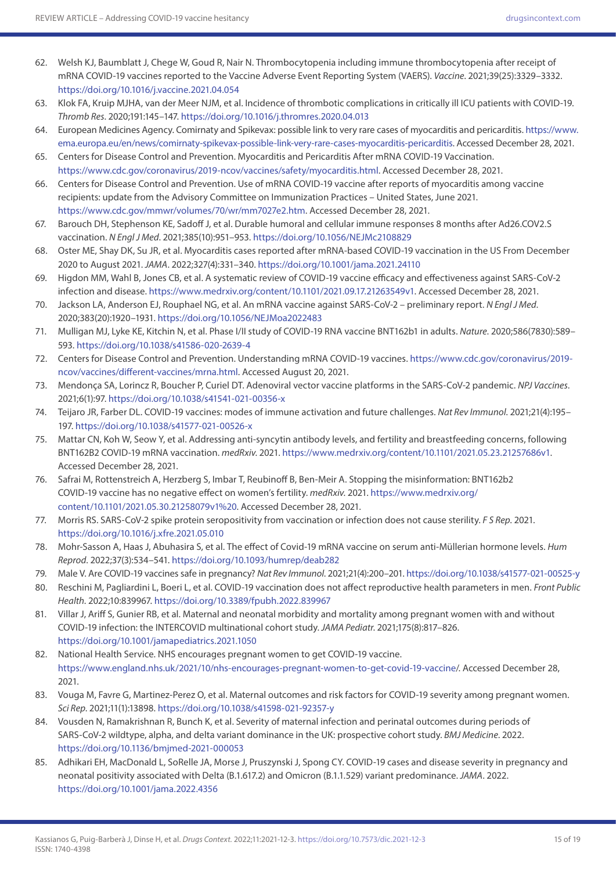- 62. Welsh KJ, Baumblatt J, Chege W, Goud R, Nair N. Thrombocytopenia including immune thrombocytopenia after receipt of mRNA COVID-19 vaccines reported to the Vaccine Adverse Event Reporting System (VAERS). *Vaccine*. 2021;39(25):3329–3332. <https://doi.org/10.1016/j.vaccine.2021.04.054>
- 63. Klok FA, Kruip MJHA, van der Meer NJM, et al. Incidence of thrombotic complications in critically ill ICU patients with COVID-19. *Thromb Res*. 2020;191:145–147.<https://doi.org/10.1016/j.thromres.2020.04.013>
- 64. European Medicines Agency. Comirnaty and Spikevax: possible link to very rare cases of myocarditis and pericarditis. [https://www.](https://www.ema.europa.eu/en/news/comirnaty-spikevax-possible-link-very-rare-cases-myocarditis-pericarditis) [ema.europa.eu/en/news/comirnaty-spikevax-possible-link-very-rare-cases-myocarditis-pericarditis.](https://www.ema.europa.eu/en/news/comirnaty-spikevax-possible-link-very-rare-cases-myocarditis-pericarditis) Accessed December 28, 2021.
- 65. Centers for Disease Control and Prevention. Myocarditis and Pericarditis After mRNA COVID-19 Vaccination. [https://www.cdc.gov/coronavirus/2019-ncov/vaccines/safety/myocarditis.html.](https://www.cdc.gov/coronavirus/2019-ncov/vaccines/safety/myocarditis.html) Accessed December 28, 2021.
- 66. Centers for Disease Control and Prevention. Use of mRNA COVID-19 vaccine after reports of myocarditis among vaccine recipients: update from the Advisory Committee on Immunization Practices – United States, June 2021. <https://www.cdc.gov/mmwr/volumes/70/wr/mm7027e2.htm>. Accessed December 28, 2021.
- 67. Barouch DH, Stephenson KE, Sadoff J, et al. Durable humoral and cellular immune responses 8 months after Ad26.COV2.S vaccination. *N Engl J Med*. 2021;385(10):951–953. <https://doi.org/10.1056/NEJMc2108829>
- 68. Oster ME, Shay DK, Su JR, et al. Myocarditis cases reported after mRNA-based COVID-19 vaccination in the US From December 2020 to August 2021. *JAMA*. 2022;327(4):331–340.<https://doi.org/10.1001/jama.2021.24110>
- 69. Higdon MM, Wahl B, Jones CB, et al. A systematic review of COVID-19 vaccine efficacy and effectiveness against SARS-CoV-2 infection and disease. [https://www.medrxiv.org/content/10.1101/2021.09.17.21263549v1.](https://www.medrxiv.org/content/10.1101/2021.09.17.21263549v1) Accessed December 28, 2021.
- 70. Jackson LA, Anderson EJ, Rouphael NG, et al. An mRNA vaccine against SARS-CoV-2 preliminary report. *N Engl J Med*. 2020;383(20):1920–1931.<https://doi.org/10.1056/NEJMoa2022483>
- 71. Mulligan MJ, Lyke KE, Kitchin N, et al. Phase I/II study of COVID-19 RNA vaccine BNT162b1 in adults. *Nature*. 2020;586(7830):589– 593.<https://doi.org/10.1038/s41586-020-2639-4>
- 72. Centers for Disease Control and Prevention. Understanding mRNA COVID-19 vaccines. [https://www.cdc.gov/coronavirus/2019](https://www.cdc.gov/coronavirus/2019-ncov/vaccines/different-vaccines/mrna.html) [ncov/vaccines/different-vaccines/mrna.html](https://www.cdc.gov/coronavirus/2019-ncov/vaccines/different-vaccines/mrna.html). Accessed August 20, 2021.
- 73. Mendonça SA, Lorincz R, Boucher P, Curiel DT. Adenoviral vector vaccine platforms in the SARS-CoV-2 pandemic. *NPJ Vaccines*. 2021;6(1):97. <https://doi.org/10.1038/s41541-021-00356-x>
- 74. Teijaro JR, Farber DL. COVID-19 vaccines: modes of immune activation and future challenges. *Nat Rev Immunol*. 2021;21(4):195– 197. <https://doi.org/10.1038/s41577-021-00526-x>
- 75. Mattar CN, Koh W, Seow Y, et al. Addressing anti-syncytin antibody levels, and fertility and breastfeeding concerns, following BNT162B2 COVID-19 mRNA vaccination. *medRxiv*. 2021. [https://www.medrxiv.org/content/10.1101/2021.05.23.21257686v1.](https://www.medrxiv.org/content/10.1101/2021.05.23.21257686v1) Accessed December 28, 2021.
- 76. Safrai M, Rottenstreich A, Herzberg S, Imbar T, Reubinoff B, Ben-Meir A. Stopping the misinformation: BNT162b2 COVID-19 vaccine has no negative effect on women's fertility. *medRxiv*. 2021. [https://www.medrxiv.org/](https://www.medrxiv.org/content/10.1101/2021.05.30.21258079v1%20) [content/10.1101/2021.05.30.21258079v1%20.](https://www.medrxiv.org/content/10.1101/2021.05.30.21258079v1%20) Accessed December 28, 2021.
- 77. Morris RS. SARS-CoV-2 spike protein seropositivity from vaccination or infection does not cause sterility. *F S Rep*. 2021. <https://doi.org/10.1016/j.xfre.2021.05.010>
- 78. Mohr-Sasson A, Haas J, Abuhasira S, et al. The effect of Covid-19 mRNA vaccine on serum anti-Müllerian hormone levels. *Hum Reprod*. 2022;37(3):534–541.<https://doi.org/10.1093/humrep/deab282>
- 79. Male V. Are COVID-19 vaccines safe in pregnancy? *Nat Rev Immunol*. 2021;21(4):200–201.<https://doi.org/10.1038/s41577-021-00525-y>
- 80. Reschini M, Pagliardini L, Boeri L, et al. COVID-19 vaccination does not affect reproductive health parameters in men. *Front Public Health*. 2022;10:839967.<https://doi.org/10.3389/fpubh.2022.839967>
- 81. Villar J, Ariff S, Gunier RB, et al. Maternal and neonatal morbidity and mortality among pregnant women with and without COVID-19 infection: the INTERCOVID multinational cohort study. *JAMA Pediatr*. 2021;175(8):817–826. <https://doi.org/10.1001/jamapediatrics.2021.1050>
- 82. National Health Service. NHS encourages pregnant women to get COVID-19 vaccine. [https://www.england.nhs.uk/2021/10/nhs-encourages-pregnant-women-to-get-covid-19-vaccine/](https://www.england.nhs.uk/2021/10/nhs-encourages-pregnant-women-to-get-covid-19-vaccine). Accessed December 28, 2021.
- 83. Vouga M, Favre G, Martinez-Perez O, et al. Maternal outcomes and risk factors for COVID-19 severity among pregnant women. *Sci Rep*. 2021;11(1):13898. <https://doi.org/10.1038/s41598-021-92357-y>
- 84. Vousden N, Ramakrishnan R, Bunch K, et al. Severity of maternal infection and perinatal outcomes during periods of SARS-CoV-2 wildtype, alpha, and delta variant dominance in the UK: prospective cohort study. *BMJ Medicine*. 2022. <https://doi.org/10.1136/bmjmed-2021-000053>
- 85. Adhikari EH, MacDonald L, SoRelle JA, Morse J, Pruszynski J, Spong CY. COVID-19 cases and disease severity in pregnancy and neonatal positivity associated with Delta (B.1.617.2) and Omicron (B.1.1.529) variant predominance. *JAMA*. 2022. <https://doi.org/10.1001/jama.2022.4356>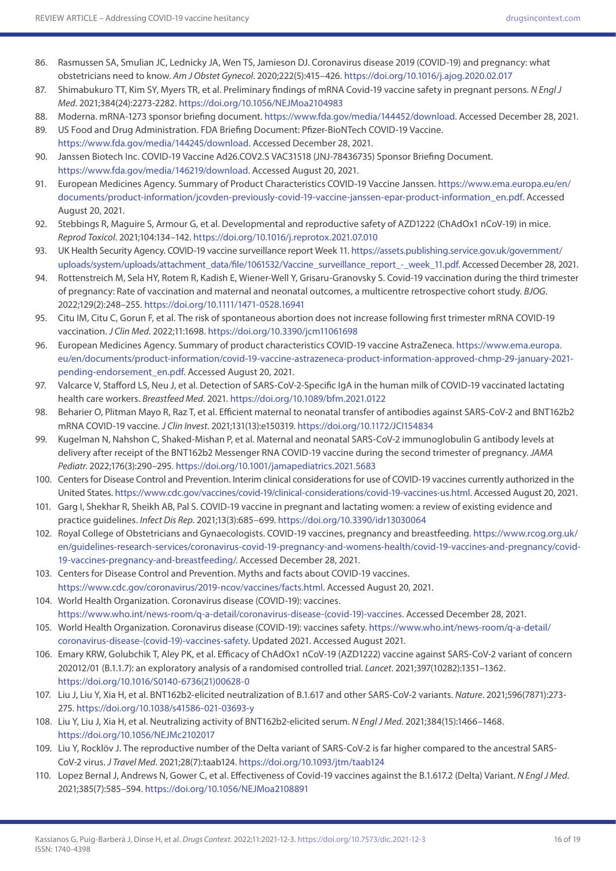- 86. Rasmussen SA, Smulian JC, Lednicky JA, Wen TS, Jamieson DJ. Coronavirus disease 2019 (COVID-19) and pregnancy: what obstetricians need to know. *Am J Obstet Gynecol*. 2020;222(5):415–426. <https://doi.org/10.1016/j.ajog.2020.02.017>
- 87. Shimabukuro TT, Kim SY, Myers TR, et al. Preliminary findings of mRNA Covid-19 vaccine safety in pregnant persons. *N Engl J Med*. 2021;384(24):2273-2282.<https://doi.org/10.1056/NEJMoa2104983>
- 88. Moderna. mRNA-1273 sponsor briefing document. [https://www.fda.gov/media/144452/download.](https://www.fda.gov/media/144452/download) Accessed December 28, 2021.
- 89. US Food and Drug Administration. FDA Briefing Document: Pfizer-BioNTech COVID-19 Vaccine. <https://www.fda.gov/media/144245/download>. Accessed December 28, 2021.
- 90. Janssen Biotech Inc. COVID-19 Vaccine Ad26.COV2.S VAC31518 (JNJ-78436735) Sponsor Briefing Document. [https://www.fda.gov/media/146219/download.](https://www.fda.gov/media/146219/download) Accessed August 20, 2021.
- 91. European Medicines Agency. Summary of Product Characteristics COVID-19 Vaccine Janssen. [https://www.ema.europa.eu/en/](https://www.ema.europa.eu/en/documents/product-information/jcovden-previously-covid-19-vaccine-janssen-epar-product-information_en.pdf) [documents/product-information/jcovden-previously-covid-19-vaccine-janssen-epar-product-information\\_en.pdf](https://www.ema.europa.eu/en/documents/product-information/jcovden-previously-covid-19-vaccine-janssen-epar-product-information_en.pdf). Accessed August 20, 2021.
- 92. Stebbings R, Maguire S, Armour G, et al. Developmental and reproductive safety of AZD1222 (ChAdOx1 nCoV-19) in mice. *Reprod Toxicol*. 2021;104:134–142.<https://doi.org/10.1016/j.reprotox.2021.07.010>
- 93. UK Health Security Agency. COVID-19 vaccine surveillance report Week 11. [https://assets.publishing.service.gov.uk/government/](https://assets.publishing.service.gov.uk/government/uploads/system/uploads/attachment_data/file/1061532/Vaccine_surveillance_report_-_week_11.pdf) [uploads/system/uploads/attachment\\_data/file/1061532/Vaccine\\_surveillance\\_report\\_-\\_week\\_11.pdf](https://assets.publishing.service.gov.uk/government/uploads/system/uploads/attachment_data/file/1061532/Vaccine_surveillance_report_-_week_11.pdf). Accessed December 28, 2021.
- 94. Rottenstreich M, Sela HY, Rotem R, Kadish E, Wiener-Well Y, Grisaru-Granovsky S. Covid-19 vaccination during the third trimester of pregnancy: Rate of vaccination and maternal and neonatal outcomes, a multicentre retrospective cohort study. *BJOG*. 2022;129(2):248–255. <https://doi.org/10.1111/1471-0528.16941>
- 95. Citu IM, Citu C, Gorun F, et al. The risk of spontaneous abortion does not increase following first trimester mRNA COVID-19 vaccination. *J Clin Med*. 2022;11:1698.<https://doi.org/10.3390/jcm11061698>
- 96. European Medicines Agency. Summary of product characteristics COVID-19 vaccine AstraZeneca. [https://www.ema.europa.](https://www.ema.europa.eu/en/documents/product-information/covid-19-vaccine-astrazeneca-product-information-approved-chmp-29-january-2021-pending-endorsement_en.pdf) [eu/en/documents/product-information/covid-19-vaccine-astrazeneca-product-information-approved-chmp-29-january-2021](https://www.ema.europa.eu/en/documents/product-information/covid-19-vaccine-astrazeneca-product-information-approved-chmp-29-january-2021-pending-endorsement_en.pdf) [pending-endorsement\\_en.pdf.](https://www.ema.europa.eu/en/documents/product-information/covid-19-vaccine-astrazeneca-product-information-approved-chmp-29-january-2021-pending-endorsement_en.pdf) Accessed August 20, 2021.
- 97. Valcarce V, Stafford LS, Neu J, et al. Detection of SARS-CoV-2-Specific IgA in the human milk of COVID-19 vaccinated lactating health care workers. *Breastfeed Med*. 2021. <https://doi.org/10.1089/bfm.2021.0122>
- 98. Beharier O, Plitman Mayo R, Raz T, et al. Efficient maternal to neonatal transfer of antibodies against SARS-CoV-2 and BNT162b2 mRNA COVID-19 vaccine. *J Clin Invest*. 2021;131(13):e150319. <https://doi.org/10.1172/JCI154834>
- 99. Kugelman N, Nahshon C, Shaked-Mishan P, et al. Maternal and neonatal SARS-CoV-2 immunoglobulin G antibody levels at delivery after receipt of the BNT162b2 Messenger RNA COVID-19 vaccine during the second trimester of pregnancy. *JAMA Pediatr*. 2022;176(3):290–295. <https://doi.org/10.1001/jamapediatrics.2021.5683>
- 100. Centers for Disease Control and Prevention. Interim clinical considerations for use of COVID-19 vaccines currently authorized in the United States.<https://www.cdc.gov/vaccines/covid-19/clinical-considerations/covid-19-vaccines-us.html>. Accessed August 20, 2021.
- 101. Garg I, Shekhar R, Sheikh AB, Pal S. COVID-19 vaccine in pregnant and lactating women: a review of existing evidence and practice guidelines. *Infect Dis Rep*. 2021;13(3):685–699. <https://doi.org/10.3390/idr13030064>
- 102. Royal College of Obstetricians and Gynaecologists. COVID-19 vaccines, pregnancy and breastfeeding. [https://www.rcog.org.uk/](https://www.rcog.org.uk/en/guidelines-research-services/coronavirus-covid-19-pregnancy-and-womens-health/covid-19-vaccines-and-pregnancy/covid-19-vaccines-pregnancy-and-breastfeeding) [en/guidelines-research-services/coronavirus-covid-19-pregnancy-and-womens-health/covid-19-vaccines-and-pregnancy/covid-](https://www.rcog.org.uk/en/guidelines-research-services/coronavirus-covid-19-pregnancy-and-womens-health/covid-19-vaccines-and-pregnancy/covid-19-vaccines-pregnancy-and-breastfeeding)[19-vaccines-pregnancy-and-breastfeeding](https://www.rcog.org.uk/en/guidelines-research-services/coronavirus-covid-19-pregnancy-and-womens-health/covid-19-vaccines-and-pregnancy/covid-19-vaccines-pregnancy-and-breastfeeding)/. Accessed December 28, 2021.
- 103. Centers for Disease Control and Prevention. Myths and facts about COVID-19 vaccines. <https://www.cdc.gov/coronavirus/2019-ncov/vaccines/facts.html>. Accessed August 20, 2021.
- 104. World Health Organization. Coronavirus disease (COVID-19): vaccines. [https://www.who.int/news-room/q-a-detail/coronavirus-disease-\(covid-19\)-vaccines.](https://www.who.int/news-room/q-a-detail/coronavirus-disease-(covid-19)-vaccines) Accessed December 28, 2021.
- 105. World Health Organization. Coronavirus disease (COVID-19): vaccines safety. [https://www.who.int/news-room/q-a-detail/](https://www.who.int/news-room/q-a-detail/coronavirus-disease-(covid-19)-vaccines-safety) [coronavirus-disease-\(covid-19\)-vaccines-safety.](https://www.who.int/news-room/q-a-detail/coronavirus-disease-(covid-19)-vaccines-safety) Updated 2021. Accessed August 2021.
- 106. Emary KRW, Golubchik T, Aley PK, et al. Efficacy of ChAdOx1 nCoV-19 (AZD1222) vaccine against SARS-CoV-2 variant of concern 202012/01 (B.1.1.7): an exploratory analysis of a randomised controlled trial. *Lancet*. 2021;397(10282):1351–1362. [https://doi.org/10.1016/S0140-6736\(21\)00628-0](https://doi.org/10.1016/S0140-6736(21)00628-0)
- 107. Liu J, Liu Y, Xia H, et al. BNT162b2-elicited neutralization of B.1.617 and other SARS-CoV-2 variants. *Nature*. 2021;596(7871):273- 275. <https://doi.org/10.1038/s41586-021-03693-y>
- 108. Liu Y, Liu J, Xia H, et al. Neutralizing activity of BNT162b2-elicited serum. *N Engl J Med*. 2021;384(15):1466–1468. <https://doi.org/10.1056/NEJMc2102017>
- 109. Liu Y, Rocklöv J. The reproductive number of the Delta variant of SARS-CoV-2 is far higher compared to the ancestral SARS-CoV-2 virus. *J Travel Med*. 2021;28(7):taab124.<https://doi.org/10.1093/jtm/taab124>
- 110. Lopez Bernal J, Andrews N, Gower C, et al. Effectiveness of Covid-19 vaccines against the B.1.617.2 (Delta) Variant. *N Engl J Med*. 2021;385(7):585–594.<https://doi.org/10.1056/NEJMoa2108891>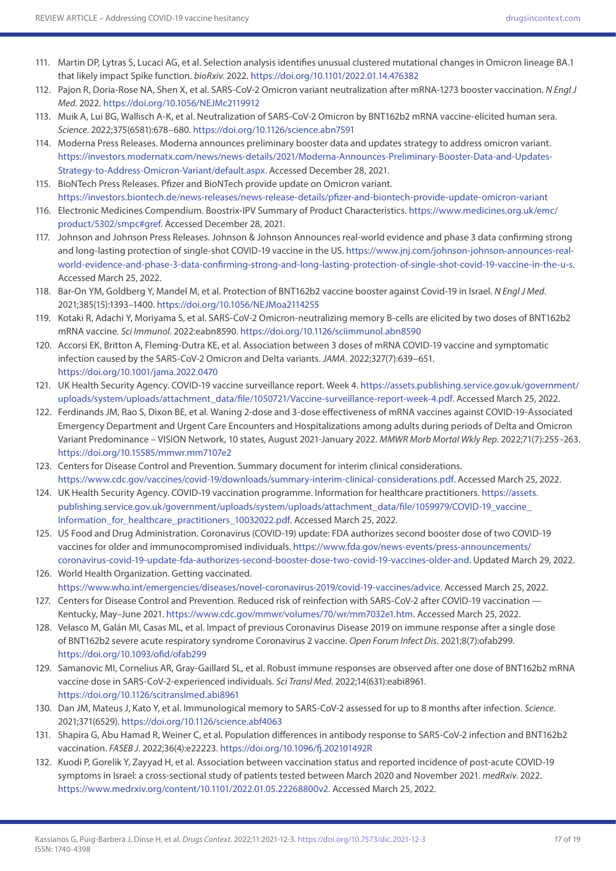- 111. Martin DP, Lytras S, Lucaci AG, et al. Selection analysis identifies unusual clustered mutational changes in Omicron lineage BA.1 that likely impact Spike function. *bioRxiv*. 2022.<https://doi.org/10.1101/2022.01.14.476382>
- 112. Pajon R, Doria-Rose NA, Shen X, et al. SARS-CoV-2 Omicron variant neutralization after mRNA-1273 booster vaccination. *N Engl J Med*. 2022. <https://doi.org/10.1056/NEJMc2119912>
- 113. Muik A, Lui BG, Wallisch A-K, et al. Neutralization of SARS-CoV-2 Omicron by BNT162b2 mRNA vaccine-elicited human sera. *Science*. 2022;375(6581):678–680. <https://doi.org/10.1126/science.abn7591>
- 114. Moderna Press Releases. Moderna announces preliminary booster data and updates strategy to address omicron variant. [https://investors.modernatx.com/news/news-details/2021/Moderna-Announces-Preliminary-Booster-Data-and-Updates-](https://investors.modernatx.com/news/news-details/2021/Moderna-Announces-Preliminary-Booster-Data-and-Updates-Strategy-to-Address-Omicron-Variant/default.aspx)[Strategy-to-Address-Omicron-Variant/default.aspx](https://investors.modernatx.com/news/news-details/2021/Moderna-Announces-Preliminary-Booster-Data-and-Updates-Strategy-to-Address-Omicron-Variant/default.aspx). Accessed December 28, 2021.
- 115. BioNTech Press Releases. Pfizer and BioNTech provide update on Omicron variant. <https://investors.biontech.de/news-releases/news-release-details/pfizer-and-biontech-provide-update-omicron-variant>
- 116. Electronic Medicines Compendium. Boostrix-IPV Summary of Product Characteristics. [https://www.medicines.org.uk/emc/](https://www.medicines.org.uk/emc/product/5302/smpc#gref.) [product/5302/smpc#gref.](https://www.medicines.org.uk/emc/product/5302/smpc#gref.) Accessed December 28, 2021.
- 117. Johnson and Johnson Press Releases. Johnson & Johnson Announces real-world evidence and phase 3 data confirming strong and long-lasting protection of single-shot COVID-19 vaccine in the US. [https://www.jnj.com/johnson-johnson-announces-real](https://www.jnj.com/johnson-johnson-announces-real-world-evidence-and-phase-3-data-confirming-strong-and-long-lasting-protection-of-single-shot-covid-19-vaccine-in-the-u-s)[world-evidence-and-phase-3-data-confirming-strong-and-long-lasting-protection-of-single-shot-covid-19-vaccine-in-the-u-s.](https://www.jnj.com/johnson-johnson-announces-real-world-evidence-and-phase-3-data-confirming-strong-and-long-lasting-protection-of-single-shot-covid-19-vaccine-in-the-u-s) Accessed March 25, 2022.
- 118. Bar-On YM, Goldberg Y, Mandel M, et al. Protection of BNT162b2 vaccine booster against Covid-19 in Israel. *N Engl J Med*. 2021;385(15):1393–1400. <https://doi.org/10.1056/NEJMoa2114255>
- 119. Kotaki R, Adachi Y, Moriyama S, et al. SARS-CoV-2 Omicron-neutralizing memory B-cells are elicited by two doses of BNT162b2 mRNA vaccine. *Sci Immunol*. 2022:eabn8590.<https://doi.org/10.1126/sciimmunol.abn8590>
- 120. Accorsi EK, Britton A, Fleming-Dutra KE, et al. Association between 3 doses of mRNA COVID-19 vaccine and symptomatic infection caused by the SARS-CoV-2 Omicron and Delta variants. *JAMA*. 2022;327(7):639–651. <https://doi.org/10.1001/jama.2022.0470>
- 121. UK Health Security Agency. COVID-19 vaccine surveillance report. Week 4. [https://assets.publishing.service.gov.uk/government/](https://assets.publishing.service.gov.uk/government/uploads/system/uploads/attachment_data/file/1050721/Vaccine-surveillance-report-week-4.pdf) [uploads/system/uploads/attachment\\_data/file/1050721/Vaccine-surveillance-report-week-4.pdf](https://assets.publishing.service.gov.uk/government/uploads/system/uploads/attachment_data/file/1050721/Vaccine-surveillance-report-week-4.pdf). Accessed March 25, 2022.
- 122. Ferdinands JM, Rao S, Dixon BE, et al. Waning 2-dose and 3-dose effectiveness of mRNA vaccines against COVID-19-Associated Emergency Department and Urgent Care Encounters and Hospitalizations among adults during periods of Delta and Omicron Variant Predominance – VISION Network, 10 states, August 2021-January 2022. *MMWR Morb Mortal Wkly Rep*. 2022;71(7):255–263. <https://doi.org/10.15585/mmwr.mm7107e2>
- 123. Centers for Disease Control and Prevention. Summary document for interim clinical considerations. <https://www.cdc.gov/vaccines/covid-19/downloads/summary-interim-clinical-considerations.pdf>. Accessed March 25, 2022.
- 124. UK Health Security Agency. COVID-19 vaccination programme. Information for healthcare practitioners. [https://assets.](https://assets.publishing.service.gov.uk/government/uploads/system/uploads/attachment_data/file/1059979/COVID-19_vaccine_Information_for_healthcare_practitioners_10032022.pdf) [publishing.service.gov.uk/government/uploads/system/uploads/attachment\\_data/file/1059979/COVID-19\\_vaccine\\_](https://assets.publishing.service.gov.uk/government/uploads/system/uploads/attachment_data/file/1059979/COVID-19_vaccine_Information_for_healthcare_practitioners_10032022.pdf) [Information\\_for\\_healthcare\\_practitioners\\_10032022.pdf](https://assets.publishing.service.gov.uk/government/uploads/system/uploads/attachment_data/file/1059979/COVID-19_vaccine_Information_for_healthcare_practitioners_10032022.pdf). Accessed March 25, 2022.
- 125. US Food and Drug Administration. Coronavirus (COVID-19) update: FDA authorizes second booster dose of two COVID-19 vaccines for older and immunocompromised individuals. [https://www.fda.gov/news-events/press-announcements/](https://www.fda.gov/news-events/press-announcements/coronavirus-covid-19-update-fda-authorizes-second-booster-dose-two-covid-19-vaccines-older-and) [coronavirus-covid-19-update-fda-authorizes-second-booster-dose-two-covid-19-vaccines-older-and.](https://www.fda.gov/news-events/press-announcements/coronavirus-covid-19-update-fda-authorizes-second-booster-dose-two-covid-19-vaccines-older-and) Updated March 29, 2022.
- 126. World Health Organization. Getting vaccinated. [https://www.who.int/emergencies/diseases/novel-coronavirus-2019/covid-19-vaccines/advice.](https://www.who.int/emergencies/diseases/novel-coronavirus-2019/covid-19-vaccines/advice) Accessed March 25, 2022.
- 127. Centers for Disease Control and Prevention. Reduced risk of reinfection with SARS-CoV-2 after COVID-19 vaccination Kentucky, May–June 2021. <https://www.cdc.gov/mmwr/volumes/70/wr/mm7032e1.htm>. Accessed March 25, 2022.
- 128. Velasco M, Galán MI, Casas ML, et al. Impact of previous Coronavirus Disease 2019 on immune response after a single dose of BNT162b2 severe acute respiratory syndrome Coronavirus 2 vaccine. *Open Forum Infect Dis*. 2021;8(7):ofab299. <https://doi.org/10.1093/ofid/ofab299>
- 129. Samanovic MI, Cornelius AR, Gray-Gaillard SL, et al. Robust immune responses are observed after one dose of BNT162b2 mRNA vaccine dose in SARS-CoV-2-experienced individuals. *Sci Transl Med*. 2022;14(631):eabi8961. <https://doi.org/10.1126/scitranslmed.abi8961>
- 130. Dan JM, Mateus J, Kato Y, et al. Immunological memory to SARS-CoV-2 assessed for up to 8 months after infection. *Science*. 2021;371(6529). <https://doi.org/10.1126/science.abf4063>
- 131. Shapira G, Abu Hamad R, Weiner C, et al. Population differences in antibody response to SARS-CoV-2 infection and BNT162b2 vaccination. *FASEB J*. 2022;36(4):e22223. <https://doi.org/10.1096/fj.202101492R>
- 132. Kuodi P, Gorelik Y, Zayyad H, et al. Association between vaccination status and reported incidence of post-acute COVID-19 symptoms in Israel: a cross-sectional study of patients tested between March 2020 and November 2021. *medRxiv*. 2022. <https://www.medrxiv.org/content/10.1101/2022.01.05.22268800v2>. Accessed March 25, 2022.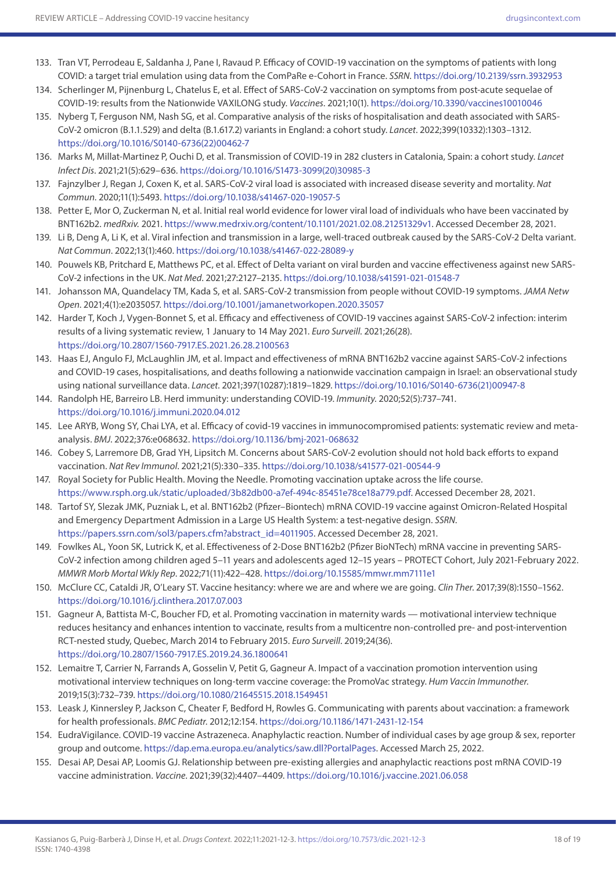- 133. Tran VT, Perrodeau E, Saldanha J, Pane I, Ravaud P. Efficacy of COVID-19 vaccination on the symptoms of patients with long COVID: a target trial emulation using data from the ComPaRe e-Cohort in France. *SSRN*. <https://doi.org/10.2139/ssrn.3932953>
- 134. Scherlinger M, Pijnenburg L, Chatelus E, et al. Effect of SARS-CoV-2 vaccination on symptoms from post-acute sequelae of COVID-19: results from the Nationwide VAXILONG study. *Vaccines*. 2021;10(1). <https://doi.org/10.3390/vaccines10010046>
- 135. Nyberg T, Ferguson NM, Nash SG, et al. Comparative analysis of the risks of hospitalisation and death associated with SARS-CoV-2 omicron (B.1.1.529) and delta (B.1.617.2) variants in England: a cohort study. *Lancet*. 2022;399(10332):1303–1312. [https://doi.org/10.1016/S0140-6736\(22\)00462-7](https://doi.org/10.1016/S0140-6736(22)00462-7)
- 136. Marks M, Millat-Martinez P, Ouchi D, et al. Transmission of COVID-19 in 282 clusters in Catalonia, Spain: a cohort study. *Lancet Infect Dis*. 2021;21(5):629–636. [https://doi.org/10.1016/S1473-3099\(20\)30985-3](https://doi.org/10.1016/S1473-3099(20)30985-3)
- 137. Fajnzylber J, Regan J, Coxen K, et al. SARS-CoV-2 viral load is associated with increased disease severity and mortality. *Nat Commun*. 2020;11(1):5493.<https://doi.org/10.1038/s41467-020-19057-5>
- 138. Petter E, Mor O, Zuckerman N, et al. Initial real world evidence for lower viral load of individuals who have been vaccinated by BNT162b2. *medRxiv.* 2021.<https://www.medrxiv.org/content/10.1101/2021.02.08.21251329v1>. Accessed December 28, 2021.
- 139. Li B, Deng A, Li K, et al. Viral infection and transmission in a large, well-traced outbreak caused by the SARS-CoV-2 Delta variant. *Nat Commun*. 2022;13(1):460.<https://doi.org/10.1038/s41467-022-28089-y>
- 140. Pouwels KB, Pritchard E, Matthews PC, et al. Effect of Delta variant on viral burden and vaccine effectiveness against new SARS-CoV-2 infections in the UK. *Nat Med*. 2021;27:2127–2135.<https://doi.org/10.1038/s41591-021-01548-7>
- 141. Johansson MA, Quandelacy TM, Kada S, et al. SARS-CoV-2 transmission from people without COVID-19 symptoms. *JAMA Netw Open*. 2021;4(1):e2035057. <https://doi.org/10.1001/jamanetworkopen.2020.35057>
- 142. Harder T, Koch J, Vygen-Bonnet S, et al. Efficacy and effectiveness of COVID-19 vaccines against SARS-CoV-2 infection: interim results of a living systematic review, 1 January to 14 May 2021. *Euro Surveill*. 2021;26(28). <https://doi.org/10.2807/1560-7917.ES.2021.26.28.2100563>
- 143. Haas EJ, Angulo FJ, McLaughlin JM, et al. Impact and effectiveness of mRNA BNT162b2 vaccine against SARS-CoV-2 infections and COVID-19 cases, hospitalisations, and deaths following a nationwide vaccination campaign in Israel: an observational study using national surveillance data. *Lancet*. 2021;397(10287):1819–1829. [https://doi.org/10.1016/S0140-6736\(21\)00947-8](https://doi.org/10.1016/S0140-6736(21)00947-8)
- 144. Randolph HE, Barreiro LB. Herd immunity: understanding COVID-19. *Immunity*. 2020;52(5):737–741. <https://doi.org/10.1016/j.immuni.2020.04.012>
- 145. Lee ARYB, Wong SY, Chai LYA, et al. Efficacy of covid-19 vaccines in immunocompromised patients: systematic review and metaanalysis. *BMJ*. 2022;376:e068632. <https://doi.org/10.1136/bmj-2021-068632>
- 146. Cobey S, Larremore DB, Grad YH, Lipsitch M. Concerns about SARS-CoV-2 evolution should not hold back efforts to expand vaccination. *Nat Rev Immunol*. 2021;21(5):330–335.<https://doi.org/10.1038/s41577-021-00544-9>
- 147. Royal Society for Public Health. Moving the Needle. Promoting vaccination uptake across the life course. <https://www.rsph.org.uk/static/uploaded/3b82db00-a7ef-494c-85451e78ce18a779.pdf>. Accessed December 28, 2021.
- 148. Tartof SY, Slezak JMK, Puzniak L, et al. BNT162b2 (Pfizer–Biontech) mRNA COVID-19 vaccine against Omicron-Related Hospital and Emergency Department Admission in a Large US Health System: a test-negative design. *SSRN*. [https://papers.ssrn.com/sol3/papers.cfm?abstract\\_id=4011905](https://papers.ssrn.com/sol3/papers.cfm?abstract_id=4011905). Accessed December 28, 2021.
- 149. Fowlkes AL, Yoon SK, Lutrick K, et al. Effectiveness of 2-Dose BNT162b2 (Pfizer BioNTech) mRNA vaccine in preventing SARS-CoV-2 infection among children aged 5–11 years and adolescents aged 12–15 years – PROTECT Cohort, July 2021-February 2022. *MMWR Morb Mortal Wkly Rep*. 2022;71(11):422–428.<https://doi.org/10.15585/mmwr.mm7111e1>
- 150. McClure CC, Cataldi JR, O'Leary ST. Vaccine hesitancy: where we are and where we are going. *Clin Ther*. 2017;39(8):1550–1562. <https://doi.org/10.1016/j.clinthera.2017.07.003>
- 151. Gagneur A, Battista M-C, Boucher FD, et al. Promoting vaccination in maternity wards motivational interview technique reduces hesitancy and enhances intention to vaccinate, results from a multicentre non-controlled pre- and post-intervention RCT-nested study, Quebec, March 2014 to February 2015. *Euro Surveill*. 2019;24(36). <https://doi.org/10.2807/1560-7917.ES.2019.24.36.1800641>
- 152. Lemaitre T, Carrier N, Farrands A, Gosselin V, Petit G, Gagneur A. Impact of a vaccination promotion intervention using motivational interview techniques on long-term vaccine coverage: the PromoVac strategy. *Hum Vaccin Immunother*. 2019;15(3):732–739. <https://doi.org/10.1080/21645515.2018.1549451>
- 153. Leask J, Kinnersley P, Jackson C, Cheater F, Bedford H, Rowles G. Communicating with parents about vaccination: a framework for health professionals. *BMC Pediatr*. 2012;12:154. <https://doi.org/10.1186/1471-2431-12-154>
- 154. EudraVigilance. COVID-19 vaccine Astrazeneca. Anaphylactic reaction. Number of individual cases by age group & sex, reporter group and outcome. [https://dap.ema.europa.eu/analytics/saw.dll?PortalPages.](https://dap.ema.europa.eu/analytics/saw.dll?PortalPages) Accessed March 25, 2022.
- 155. Desai AP, Desai AP, Loomis GJ. Relationship between pre-existing allergies and anaphylactic reactions post mRNA COVID-19 vaccine administration. *Vaccine*. 2021;39(32):4407–4409.<https://doi.org/10.1016/j.vaccine.2021.06.058>